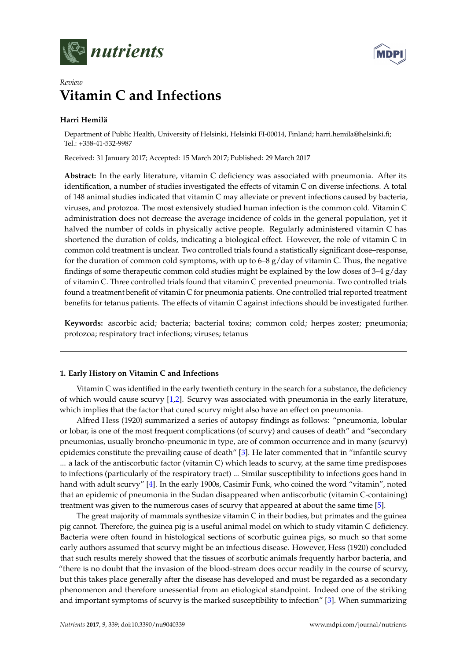



# *Review* **Vitamin C and Infections**

# **Harri Hemilä**

Department of Public Health, University of Helsinki, Helsinki FI-00014, Finland; harri.hemila@helsinki.fi; Tel.: +358-41-532-9987

Received: 31 January 2017; Accepted: 15 March 2017; Published: 29 March 2017

**Abstract:** In the early literature, vitamin C deficiency was associated with pneumonia. After its identification, a number of studies investigated the effects of vitamin C on diverse infections. A total of 148 animal studies indicated that vitamin C may alleviate or prevent infections caused by bacteria, viruses, and protozoa. The most extensively studied human infection is the common cold. Vitamin C administration does not decrease the average incidence of colds in the general population, yet it halved the number of colds in physically active people. Regularly administered vitamin C has shortened the duration of colds, indicating a biological effect. However, the role of vitamin C in common cold treatment is unclear. Two controlled trials found a statistically significant dose–response, for the duration of common cold symptoms, with up to  $6-8$  g/day of vitamin C. Thus, the negative findings of some therapeutic common cold studies might be explained by the low doses of  $3-4$  g/day of vitamin C. Three controlled trials found that vitamin C prevented pneumonia. Two controlled trials found a treatment benefit of vitamin C for pneumonia patients. One controlled trial reported treatment benefits for tetanus patients. The effects of vitamin C against infections should be investigated further.

**Keywords:** ascorbic acid; bacteria; bacterial toxins; common cold; herpes zoster; pneumonia; protozoa; respiratory tract infections; viruses; tetanus

# **1. Early History on Vitamin C and Infections**

Vitamin C was identified in the early twentieth century in the search for a substance, the deficiency of which would cause scurvy [\[1,](#page-21-0)[2\]](#page-21-1). Scurvy was associated with pneumonia in the early literature, which implies that the factor that cured scurvy might also have an effect on pneumonia.

Alfred Hess (1920) summarized a series of autopsy findings as follows: "pneumonia, lobular or lobar, is one of the most frequent complications (of scurvy) and causes of death" and "secondary pneumonias, usually broncho-pneumonic in type, are of common occurrence and in many (scurvy) epidemics constitute the prevailing cause of death" [\[3\]](#page-21-2). He later commented that in "infantile scurvy ... a lack of the antiscorbutic factor (vitamin C) which leads to scurvy, at the same time predisposes to infections (particularly of the respiratory tract) ... Similar susceptibility to infections goes hand in hand with adult scurvy" [\[4\]](#page-21-3). In the early 1900s, Casimir Funk, who coined the word "vitamin", noted that an epidemic of pneumonia in the Sudan disappeared when antiscorbutic (vitamin C-containing) treatment was given to the numerous cases of scurvy that appeared at about the same time [\[5\]](#page-21-4).

The great majority of mammals synthesize vitamin C in their bodies, but primates and the guinea pig cannot. Therefore, the guinea pig is a useful animal model on which to study vitamin C deficiency. Bacteria were often found in histological sections of scorbutic guinea pigs, so much so that some early authors assumed that scurvy might be an infectious disease. However, Hess (1920) concluded that such results merely showed that the tissues of scorbutic animals frequently harbor bacteria, and "there is no doubt that the invasion of the blood-stream does occur readily in the course of scurvy, but this takes place generally after the disease has developed and must be regarded as a secondary phenomenon and therefore unessential from an etiological standpoint. Indeed one of the striking and important symptoms of scurvy is the marked susceptibility to infection" [\[3\]](#page-21-2). When summarizing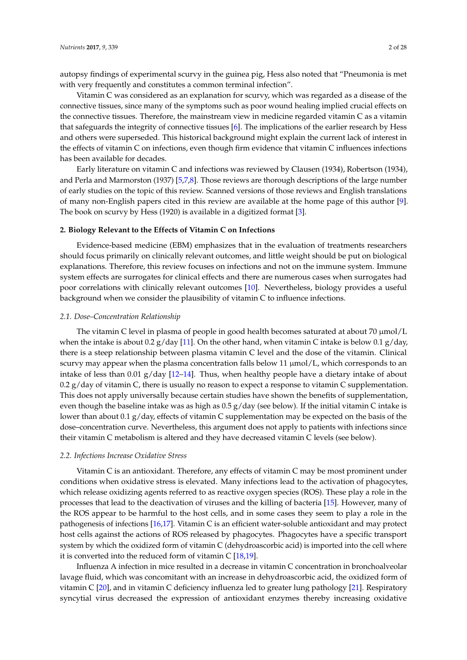autopsy findings of experimental scurvy in the guinea pig, Hess also noted that "Pneumonia is met with very frequently and constitutes a common terminal infection".

Vitamin C was considered as an explanation for scurvy, which was regarded as a disease of the connective tissues, since many of the symptoms such as poor wound healing implied crucial effects on the connective tissues. Therefore, the mainstream view in medicine regarded vitamin C as a vitamin that safeguards the integrity of connective tissues  $[6]$ . The implications of the earlier research by Hess and others were superseded. This historical background might explain the current lack of interest in the effects of vitamin C on infections, even though firm evidence that vitamin C influences infections has been available for decades.

Early literature on vitamin C and infections was reviewed by Clausen (1934), Robertson (1934), and Perla and Marmorston (1937) [\[5](#page-21-4)[,7,](#page-21-6)[8\]](#page-21-7). Those reviews are thorough descriptions of the large number of early studies on the topic of this review. Scanned versions of those reviews and English translations of many non-English papers cited in this review are available at the home page of this author [\[9\]](#page-21-8). The book on scurvy by Hess (1920) is available in a digitized format [\[3\]](#page-21-2).

### **2. Biology Relevant to the Effects of Vitamin C on Infections**

Evidence-based medicine (EBM) emphasizes that in the evaluation of treatments researchers should focus primarily on clinically relevant outcomes, and little weight should be put on biological explanations. Therefore, this review focuses on infections and not on the immune system. Immune system effects are surrogates for clinical effects and there are numerous cases when surrogates had poor correlations with clinically relevant outcomes [\[10\]](#page-21-9). Nevertheless, biology provides a useful background when we consider the plausibility of vitamin C to influence infections.

### *2.1. Dose–Concentration Relationship*

The vitamin C level in plasma of people in good health becomes saturated at about 70  $\mu$ mol/L when the intake is about 0.2  $g$ /day [\[11\]](#page-21-10). On the other hand, when vitamin C intake is below 0.1  $g$ /day, there is a steep relationship between plasma vitamin C level and the dose of the vitamin. Clinical scurvy may appear when the plasma concentration falls below 11  $\mu$ mol/L, which corresponds to an intake of less than 0.01 g/day [\[12–](#page-21-11)[14\]](#page-21-12). Thus, when healthy people have a dietary intake of about 0.2  $g$ /day of vitamin C, there is usually no reason to expect a response to vitamin C supplementation. This does not apply universally because certain studies have shown the benefits of supplementation, even though the baseline intake was as high as 0.5 g/day (see below). If the initial vitamin C intake is lower than about 0.1 g/day, effects of vitamin C supplementation may be expected on the basis of the dose–concentration curve. Nevertheless, this argument does not apply to patients with infections since their vitamin C metabolism is altered and they have decreased vitamin C levels (see below).

### *2.2. Infections Increase Oxidative Stress*

Vitamin C is an antioxidant. Therefore, any effects of vitamin C may be most prominent under conditions when oxidative stress is elevated. Many infections lead to the activation of phagocytes, which release oxidizing agents referred to as reactive oxygen species (ROS). These play a role in the processes that lead to the deactivation of viruses and the killing of bacteria [\[15\]](#page-21-13). However, many of the ROS appear to be harmful to the host cells, and in some cases they seem to play a role in the pathogenesis of infections [\[16](#page-21-14)[,17\]](#page-21-15). Vitamin C is an efficient water-soluble antioxidant and may protect host cells against the actions of ROS released by phagocytes. Phagocytes have a specific transport system by which the oxidized form of vitamin C (dehydroascorbic acid) is imported into the cell where it is converted into the reduced form of vitamin C [\[18](#page-21-16)[,19\]](#page-21-17).

Influenza A infection in mice resulted in a decrease in vitamin C concentration in bronchoalveolar lavage fluid, which was concomitant with an increase in dehydroascorbic acid, the oxidized form of vitamin C [\[20\]](#page-21-18), and in vitamin C deficiency influenza led to greater lung pathology [\[21\]](#page-21-19). Respiratory syncytial virus decreased the expression of antioxidant enzymes thereby increasing oxidative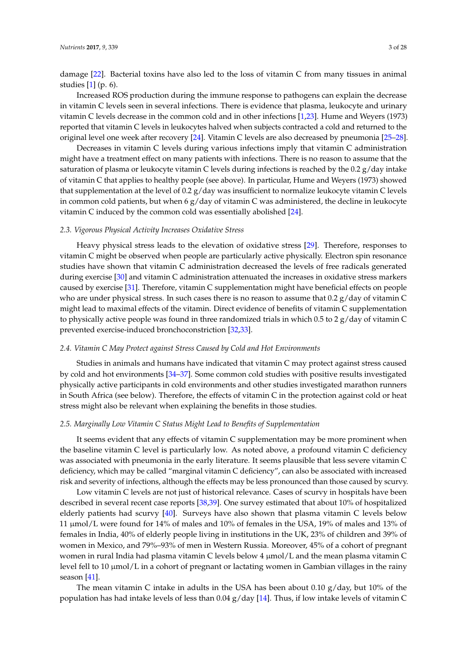damage [\[22\]](#page-21-20). Bacterial toxins have also led to the loss of vitamin C from many tissues in animal studies [\[1\]](#page-21-0) (p. 6).

Increased ROS production during the immune response to pathogens can explain the decrease in vitamin C levels seen in several infections. There is evidence that plasma, leukocyte and urinary vitamin C levels decrease in the common cold and in other infections [\[1,](#page-21-0)[23\]](#page-21-21). Hume and Weyers (1973) reported that vitamin C levels in leukocytes halved when subjects contracted a cold and returned to the original level one week after recovery [\[24\]](#page-21-22). Vitamin C levels are also decreased by pneumonia [\[25–](#page-21-23)[28\]](#page-22-0).

Decreases in vitamin C levels during various infections imply that vitamin C administration might have a treatment effect on many patients with infections. There is no reason to assume that the saturation of plasma or leukocyte vitamin C levels during infections is reached by the 0.2 g/day intake of vitamin C that applies to healthy people (see above). In particular, Hume and Weyers (1973) showed that supplementation at the level of 0.2 g/day was insufficient to normalize leukocyte vitamin C levels in common cold patients, but when  $6 g/day$  of vitamin C was administered, the decline in leukocyte vitamin C induced by the common cold was essentially abolished [\[24\]](#page-21-22).

#### *2.3. Vigorous Physical Activity Increases Oxidative Stress*

Heavy physical stress leads to the elevation of oxidative stress [\[29\]](#page-22-1). Therefore, responses to vitamin C might be observed when people are particularly active physically. Electron spin resonance studies have shown that vitamin C administration decreased the levels of free radicals generated during exercise [\[30\]](#page-22-2) and vitamin C administration attenuated the increases in oxidative stress markers caused by exercise [\[31\]](#page-22-3). Therefore, vitamin C supplementation might have beneficial effects on people who are under physical stress. In such cases there is no reason to assume that 0.2  $g$ /day of vitamin C might lead to maximal effects of the vitamin. Direct evidence of benefits of vitamin C supplementation to physically active people was found in three randomized trials in which 0.5 to 2  $g$ /day of vitamin C prevented exercise-induced bronchoconstriction [\[32](#page-22-4)[,33\]](#page-22-5).

### <span id="page-2-0"></span>*2.4. Vitamin C May Protect against Stress Caused by Cold and Hot Environments*

Studies in animals and humans have indicated that vitamin C may protect against stress caused by cold and hot environments [\[34–](#page-22-6)[37\]](#page-22-7). Some common cold studies with positive results investigated physically active participants in cold environments and other studies investigated marathon runners in South Africa (see below). Therefore, the effects of vitamin C in the protection against cold or heat stress might also be relevant when explaining the benefits in those studies.

# *2.5. Marginally Low Vitamin C Status Might Lead to Benefits of Supplementation*

It seems evident that any effects of vitamin C supplementation may be more prominent when the baseline vitamin C level is particularly low. As noted above, a profound vitamin C deficiency was associated with pneumonia in the early literature. It seems plausible that less severe vitamin C deficiency, which may be called "marginal vitamin C deficiency", can also be associated with increased risk and severity of infections, although the effects may be less pronounced than those caused by scurvy.

Low vitamin C levels are not just of historical relevance. Cases of scurvy in hospitals have been described in several recent case reports [\[38,](#page-22-8)[39\]](#page-22-9). One survey estimated that about 10% of hospitalized elderly patients had scurvy [\[40\]](#page-22-10). Surveys have also shown that plasma vitamin C levels below 11 µmol/L were found for 14% of males and 10% of females in the USA, 19% of males and 13% of females in India, 40% of elderly people living in institutions in the UK, 23% of children and 39% of women in Mexico, and 79%–93% of men in Western Russia. Moreover, 45% of a cohort of pregnant women in rural India had plasma vitamin C levels below 4 µmol/L and the mean plasma vitamin C level fell to 10  $\mu$ mol/L in a cohort of pregnant or lactating women in Gambian villages in the rainy season [\[41\]](#page-22-11).

The mean vitamin C intake in adults in the USA has been about 0.10  $g/day$ , but 10% of the population has had intake levels of less than 0.04 g/day [\[14\]](#page-21-12). Thus, if low intake levels of vitamin C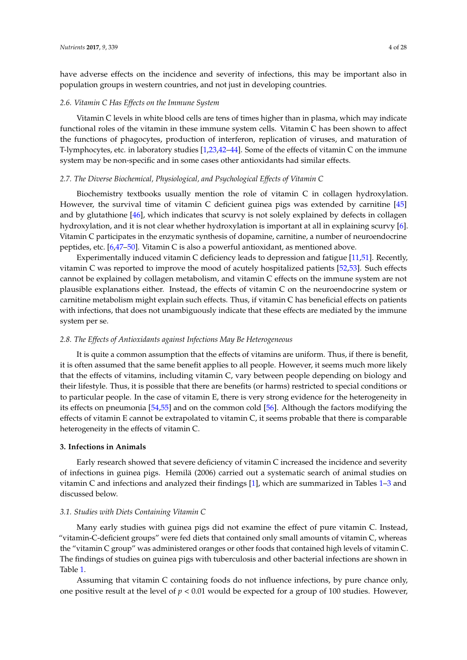have adverse effects on the incidence and severity of infections, this may be important also in population groups in western countries, and not just in developing countries.

# *2.6. Vitamin C Has Effects on the Immune System*

Vitamin C levels in white blood cells are tens of times higher than in plasma, which may indicate functional roles of the vitamin in these immune system cells. Vitamin C has been shown to affect the functions of phagocytes, production of interferon, replication of viruses, and maturation of T-lymphocytes, etc. in laboratory studies [\[1](#page-21-0)[,23](#page-21-21)[,42–](#page-22-12)[44\]](#page-22-13). Some of the effects of vitamin C on the immune system may be non-specific and in some cases other antioxidants had similar effects.

## <span id="page-3-1"></span>*2.7. The Diverse Biochemical, Physiological, and Psychological Effects of Vitamin C*

Biochemistry textbooks usually mention the role of vitamin C in collagen hydroxylation. However, the survival time of vitamin C deficient guinea pigs was extended by carnitine [\[45\]](#page-22-14) and by glutathione [\[46\]](#page-22-15), which indicates that scurvy is not solely explained by defects in collagen hydroxylation, and it is not clear whether hydroxylation is important at all in explaining scurvy [\[6\]](#page-21-5). Vitamin C participates in the enzymatic synthesis of dopamine, carnitine, a number of neuroendocrine peptides, etc. [\[6](#page-21-5)[,47](#page-22-16)[–50\]](#page-22-17). Vitamin C is also a powerful antioxidant, as mentioned above.

Experimentally induced vitamin C deficiency leads to depression and fatigue [\[11](#page-21-10)[,51\]](#page-22-18). Recently, vitamin C was reported to improve the mood of acutely hospitalized patients [\[52](#page-22-19)[,53\]](#page-23-0). Such effects cannot be explained by collagen metabolism, and vitamin C effects on the immune system are not plausible explanations either. Instead, the effects of vitamin C on the neuroendocrine system or carnitine metabolism might explain such effects. Thus, if vitamin C has beneficial effects on patients with infections, that does not unambiguously indicate that these effects are mediated by the immune system per se.

### <span id="page-3-0"></span>*2.8. The Effects of Antioxidants against Infections May Be Heterogeneous*

It is quite a common assumption that the effects of vitamins are uniform. Thus, if there is benefit, it is often assumed that the same benefit applies to all people. However, it seems much more likely that the effects of vitamins, including vitamin C, vary between people depending on biology and their lifestyle. Thus, it is possible that there are benefits (or harms) restricted to special conditions or to particular people. In the case of vitamin E, there is very strong evidence for the heterogeneity in its effects on pneumonia [\[54,](#page-23-1)[55\]](#page-23-2) and on the common cold [\[56\]](#page-23-3). Although the factors modifying the effects of vitamin E cannot be extrapolated to vitamin C, it seems probable that there is comparable heterogeneity in the effects of vitamin C.

# **3. Infections in Animals**

Early research showed that severe deficiency of vitamin C increased the incidence and severity of infections in guinea pigs. Hemilä (2006) carried out a systematic search of animal studies on vitamin C and infections and analyzed their findings [\[1\]](#page-21-0), which are summarized in Tables [1–](#page-4-0)[3](#page-5-0) and discussed below.

## *3.1. Studies with Diets Containing Vitamin C*

Many early studies with guinea pigs did not examine the effect of pure vitamin C. Instead, "vitamin-C-deficient groups" were fed diets that contained only small amounts of vitamin C, whereas the "vitamin C group" was administered oranges or other foods that contained high levels of vitamin C. The findings of studies on guinea pigs with tuberculosis and other bacterial infections are shown in Table [1.](#page-4-0)

Assuming that vitamin C containing foods do not influence infections, by pure chance only, one positive result at the level of  $p < 0.01$  would be expected for a group of 100 studies. However,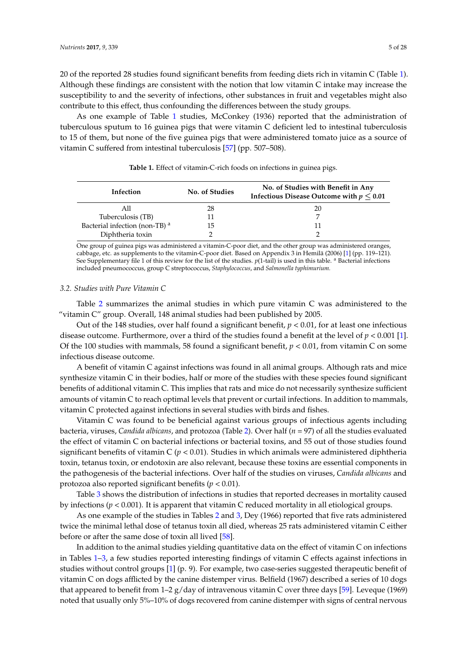20 of the reported 28 studies found significant benefits from feeding diets rich in vitamin C (Table [1\)](#page-4-0). Although these findings are consistent with the notion that low vitamin C intake may increase the susceptibility to and the severity of infections, other substances in fruit and vegetables might also contribute to this effect, thus confounding the differences between the study groups.

As one example of Table [1](#page-4-0) studies, McConkey (1936) reported that the administration of tuberculous sputum to 16 guinea pigs that were vitamin C deficient led to intestinal tuberculosis to 15 of them, but none of the five guinea pigs that were administered tomato juice as a source of vitamin C suffered from intestinal tuberculosis [\[57\]](#page-23-4) (pp. 507–508).

<span id="page-4-0"></span>

| Infection                      | No. of Studies | No. of Studies with Benefit in Any<br>Infectious Disease Outcome with $p \leq 0.01$ |
|--------------------------------|----------------|-------------------------------------------------------------------------------------|
| All                            | 28             | 20.                                                                                 |
| Tuberculosis (TB)              |                |                                                                                     |
| Bacterial infection (non-TB) a | 15             |                                                                                     |
| Diphtheria toxin               |                |                                                                                     |

**Table 1.** Effect of vitamin-C-rich foods on infections in guinea pigs.

One group of guinea pigs was administered a vitamin-C-poor diet, and the other group was administered oranges, cabbage, etc. as supplements to the vitamin-C-poor diet. Based on Appendix 3 in Hemilä (2006) [\[1\]](#page-21-0) (pp. 119–121). See Supplementary file 1 of this review for the list of the studies.  $p(1-tail)$  is used in this table. <sup>a</sup> Bacterial infections included pneumococcus, group C streptococcus, *Staphylococcus*, and *Salmonella typhimurium.*

# *3.2. Studies with Pure Vitamin C*

Table [2](#page-5-1) summarizes the animal studies in which pure vitamin C was administered to the "vitamin C" group. Overall, 148 animal studies had been published by 2005.

Out of the 148 studies, over half found a significant benefit, *p* < 0.01, for at least one infectious disease outcome. Furthermore, over a third of the studies found a benefit at the level of *p* < 0.001 [\[1\]](#page-21-0). Of the 100 studies with mammals, 58 found a significant benefit, *p* < 0.01, from vitamin C on some infectious disease outcome.

A benefit of vitamin C against infections was found in all animal groups. Although rats and mice synthesize vitamin C in their bodies, half or more of the studies with these species found significant benefits of additional vitamin C. This implies that rats and mice do not necessarily synthesize sufficient amounts of vitamin C to reach optimal levels that prevent or curtail infections. In addition to mammals, vitamin C protected against infections in several studies with birds and fishes.

Vitamin C was found to be beneficial against various groups of infectious agents including bacteria, viruses, *Candida albicans*, and protozoa (Table [2\)](#page-5-1). Over half (*n* = 97) of all the studies evaluated the effect of vitamin C on bacterial infections or bacterial toxins, and 55 out of those studies found significant benefits of vitamin C  $(p < 0.01)$ . Studies in which animals were administered diphtheria toxin, tetanus toxin, or endotoxin are also relevant, because these toxins are essential components in the pathogenesis of the bacterial infections. Over half of the studies on viruses, *Candida albicans* and protozoa also reported significant benefits (*p* < 0.01).

Table [3](#page-5-0) shows the distribution of infections in studies that reported decreases in mortality caused by infections (*p* < 0.001). It is apparent that vitamin C reduced mortality in all etiological groups.

As one example of the studies in Tables [2](#page-5-1) and [3,](#page-5-0) Dey (1966) reported that five rats administered twice the minimal lethal dose of tetanus toxin all died, whereas 25 rats administered vitamin C either before or after the same dose of toxin all lived [\[58\]](#page-23-5).

In addition to the animal studies yielding quantitative data on the effect of vitamin C on infections in Tables [1–](#page-4-0)[3,](#page-5-0) a few studies reported interesting findings of vitamin C effects against infections in studies without control groups [\[1\]](#page-21-0) (p. 9). For example, two case-series suggested therapeutic benefit of vitamin C on dogs afflicted by the canine distemper virus. Belfield (1967) described a series of 10 dogs that appeared to benefit from  $1-2$  g/day of intravenous vitamin C over three days [\[59\]](#page-23-6). Leveque (1969) noted that usually only 5%–10% of dogs recovered from canine distemper with signs of central nervous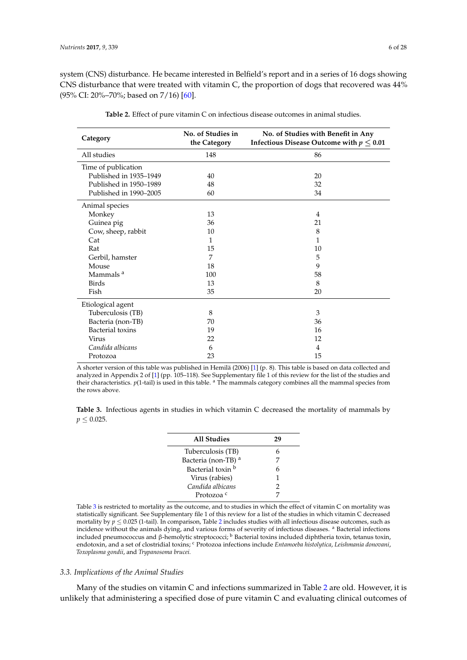system (CNS) disturbance. He became interested in Belfield's report and in a series of 16 dogs showing CNS disturbance that were treated with vitamin C, the proportion of dogs that recovered was 44% (95% CI: 20%–70%; based on 7/16) [\[60\]](#page-23-7).

<span id="page-5-1"></span>

| Category                | No. of Studies in<br>the Category | No. of Studies with Benefit in Any<br>Infectious Disease Outcome with $p \leq 0.01$ |
|-------------------------|-----------------------------------|-------------------------------------------------------------------------------------|
| All studies             | 148                               | 86                                                                                  |
| Time of publication     |                                   |                                                                                     |
| Published in 1935-1949  | 40                                | 20                                                                                  |
| Published in 1950-1989  | 48                                | 32                                                                                  |
| Published in 1990-2005  | 60                                | 34                                                                                  |
| Animal species          |                                   |                                                                                     |
| Monkey                  | 13                                | 4                                                                                   |
| Guinea pig              | 36                                | 21                                                                                  |
| Cow, sheep, rabbit      | 10                                | 8                                                                                   |
| Cat                     | 1                                 | 1                                                                                   |
| Rat                     | 15                                | 10                                                                                  |
| Gerbil, hamster         | 7                                 | 5                                                                                   |
| Mouse                   | 18                                | 9                                                                                   |
| Mammals <sup>a</sup>    | 100                               | 58                                                                                  |
| <b>Birds</b>            | 13                                | 8                                                                                   |
| Fish                    | 35                                | 20                                                                                  |
| Etiological agent       |                                   |                                                                                     |
| Tuberculosis (TB)       | 8                                 | 3                                                                                   |
| Bacteria (non-TB)       | 70                                | 36                                                                                  |
| <b>Bacterial</b> toxins | 19                                | 16                                                                                  |
| Virus                   | 22                                | 12                                                                                  |
| Candida albicans        | 6                                 | $\overline{4}$                                                                      |
| Protozoa                | 23                                | 15                                                                                  |

**Table 2.** Effect of pure vitamin C on infectious disease outcomes in animal studies.

A shorter version of this table was published in Hemilä (2006) [\[1\]](#page-21-0) (p. 8). This table is based on data collected and analyzed in Appendix 2 of [\[1\]](#page-21-0) (pp. 105–118). See Supplementary file 1 of this review for the list of the studies and their characteristics. *p*(1-tail) is used in this table. <sup>a</sup> The mammals category combines all the mammal species from the rows above.

<span id="page-5-0"></span>**Table 3.** Infectious agents in studies in which vitamin C decreased the mortality of mammals by  $p \leq 0.025$ .

| All Studies                    | 79 |
|--------------------------------|----|
| Tuberculosis (TB)              | 6  |
| Bacteria (non-TB) <sup>a</sup> | 7  |
| Bacterial toxin b              | 6  |
| Virus (rabies)                 | 1  |
| Candida albicans               | 2  |
| Protozoa <sup>c</sup>          |    |
|                                |    |

Table [3](#page-5-0) is restricted to mortality as the outcome, and to studies in which the effect of vitamin C on mortality was statistically significant. See Supplementary file 1 of this review for a list of the studies in which vitamin C decreased mortality by  $p < 0.025$  $p < 0.025$  $p < 0.025$  (1-tail). In comparison, Table 2 includes studies with all infectious disease outcomes, such as incidence without the animals dying, and various forms of severity of infectious diseases. <sup>a</sup> Bacterial infections included pneumococcus and β-hemolytic streptococci;  $\frac{b}{b}$  Bacterial toxins included diphtheria toxin, tetanus toxin, endotoxin, and a set of clostridial toxins; <sup>c</sup> Protozoa infections include *Entamoeba histolytica*, *Leishmania donovani*, *Toxoplasma gondii*, and *Trypanosoma brucei.*

# *3.3. Implications of the Animal Studies*

Many of the studies on vitamin C and infections summarized in Table [2](#page-5-1) are old. However, it is unlikely that administering a specified dose of pure vitamin C and evaluating clinical outcomes of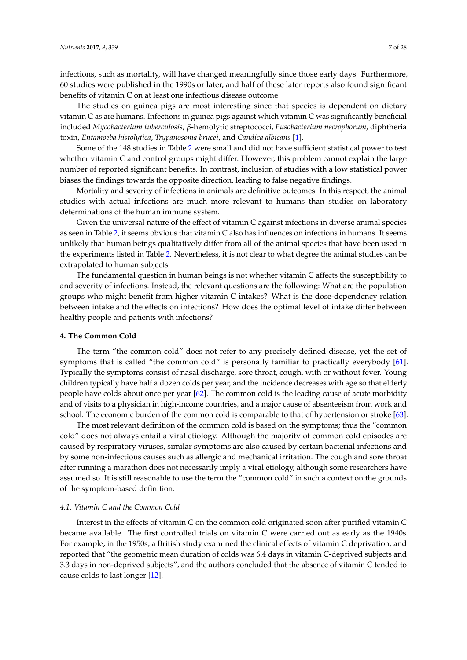infections, such as mortality, will have changed meaningfully since those early days. Furthermore, 60 studies were published in the 1990s or later, and half of these later reports also found significant benefits of vitamin C on at least one infectious disease outcome.

The studies on guinea pigs are most interesting since that species is dependent on dietary vitamin C as are humans. Infections in guinea pigs against which vitamin C was significantly beneficial included *Mycobacterium tuberculosis*, *β-*hemolytic streptococci, *Fusobacterium necrophorum*, diphtheria toxin, *Entamoeba histolytica*, *Trypanosoma brucei*, and *Candica albicans* [\[1\]](#page-21-0).

Some of the 148 studies in Table [2](#page-5-1) were small and did not have sufficient statistical power to test whether vitamin C and control groups might differ. However, this problem cannot explain the large number of reported significant benefits. In contrast, inclusion of studies with a low statistical power biases the findings towards the opposite direction, leading to false negative findings.

Mortality and severity of infections in animals are definitive outcomes. In this respect, the animal studies with actual infections are much more relevant to humans than studies on laboratory determinations of the human immune system.

Given the universal nature of the effect of vitamin C against infections in diverse animal species as seen in Table [2,](#page-5-1) it seems obvious that vitamin C also has influences on infections in humans. It seems unlikely that human beings qualitatively differ from all of the animal species that have been used in the experiments listed in Table [2.](#page-5-1) Nevertheless, it is not clear to what degree the animal studies can be extrapolated to human subjects.

The fundamental question in human beings is not whether vitamin C affects the susceptibility to and severity of infections. Instead, the relevant questions are the following: What are the population groups who might benefit from higher vitamin C intakes? What is the dose-dependency relation between intake and the effects on infections? How does the optimal level of intake differ between healthy people and patients with infections?

# **4. The Common Cold**

The term "the common cold" does not refer to any precisely defined disease, yet the set of symptoms that is called "the common cold" is personally familiar to practically everybody [\[61\]](#page-23-8). Typically the symptoms consist of nasal discharge, sore throat, cough, with or without fever. Young children typically have half a dozen colds per year, and the incidence decreases with age so that elderly people have colds about once per year [\[62\]](#page-23-9). The common cold is the leading cause of acute morbidity and of visits to a physician in high-income countries, and a major cause of absenteeism from work and school. The economic burden of the common cold is comparable to that of hypertension or stroke [\[63\]](#page-23-10).

The most relevant definition of the common cold is based on the symptoms; thus the "common cold" does not always entail a viral etiology. Although the majority of common cold episodes are caused by respiratory viruses, similar symptoms are also caused by certain bacterial infections and by some non-infectious causes such as allergic and mechanical irritation. The cough and sore throat after running a marathon does not necessarily imply a viral etiology, although some researchers have assumed so. It is still reasonable to use the term the "common cold" in such a context on the grounds of the symptom-based definition.

# *4.1. Vitamin C and the Common Cold*

Interest in the effects of vitamin C on the common cold originated soon after purified vitamin C became available. The first controlled trials on vitamin C were carried out as early as the 1940s. For example, in the 1950s, a British study examined the clinical effects of vitamin C deprivation, and reported that "the geometric mean duration of colds was 6.4 days in vitamin C-deprived subjects and 3.3 days in non-deprived subjects", and the authors concluded that the absence of vitamin C tended to cause colds to last longer [\[12\]](#page-21-11).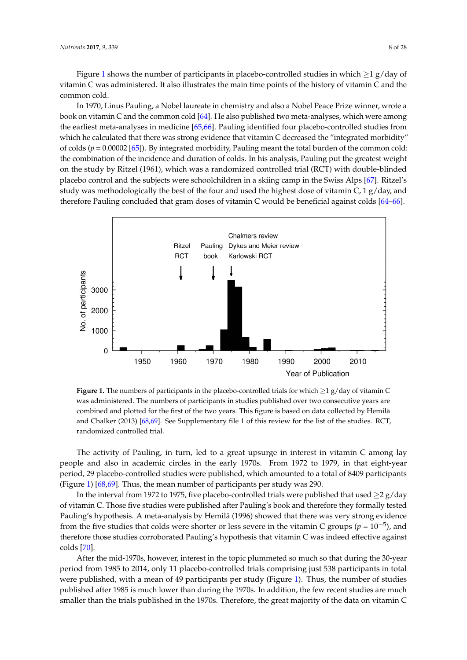Fig[ure](#page-7-0) 1 shows the number of participants in placebo-controlled studies in which  $\geq$ 1 g/day of vitamin C was administered. It also illustrates the main time points of the history of vitamin C and the common cold.

In 1970, Linus Pauling, a Nobel laureate in chemistry and also a Nobel Peace Prize winner, wrote a In 1970, Linus Pauling, a Nobel laureate in chemistry and also a Nobel Peace Prize winner, wrote book on vitamin C and the common cold [\[64\]](#page-23-11). He also published two meta-analyses, which were among the earliest meta-analyses in medicine [\[65,](#page-23-12)[66\]](#page-23-13). Pauling identified four placebo-controlled studies from which he calculated that there was strong evidence that vitamin C decreased the "integrated morbidity"<br>"integrated morbidity" of colds ( $p = 0.00002$  [\[65\]](#page-23-12)). By integrated morbidity, Pauling meant the total burden of the common cold: the combination of the incidence and duration of colds. In his analysis, Pauling put the greatest weight on the study by Ritzel (1961), which was a randomized controlled trial (RCT) with double-blinded placebo control and the subjects were schoolchildren in a skiing camp in the Swiss Alps [\[67\]](#page-23-14). Ritzel's study was methodologically the best of the four and used the highest dose of vitamin C, 1 g/day, and therefore Pauling concluded that gram doses of vitamin C would be beneficial against colds  $[64–66]$  $[64–66]$ . studies from what you in including the calculated that the calculated that the vitamin C decreased that vitamin C decreased the calculated the calculated that vitamin C decreased the calculated the calculated the calculate

<span id="page-7-0"></span>

**Figure 1.** The numbers of participants in the placebo‐controlled trials for which ≥1 g/day of vitamin **Figure 1.** The numbers of participants in the placebo-controlled trials for which ≥1 g/day of vitamin C was administered. The numbers of participants in studies published over two consecutive years are combined and plotted for the first of the two years. This figure is based on data collected by Hemilä combined and plotted for the first of the two years. This figure is based on data collected by Hemilä and Chalker (2013) [\[68,](#page-23-15)[69\]](#page-23-16). See Supplementary file 1 of this review for the list of the studies. RCT, randomized controlled trial. randomized controlled trial.

 $T$  activity of Pauling, in turn, led to a great upsure in interest in interest in  $\alpha$ The activity of Pauling, in turn, led to a great upsurge in interest in vitamin C among lay people and also in academic circles in the early 1970s. From 1972 to 1979, in that eight-year period, 29 placebo-controlled studies were published, which amounted to a total of 8409 participants (Figure [1\)](#page-7-0) [\[68,](#page-23-15)[69\]](#page-23-16). Thus, the mean number of participants per study was 290.

In the interval from 1972 to 1975, five placebo-controlled trials were published that used  $\geq$  2 g/day of vitamin C. Those five studies were published after Pauling's book and therefore they formally tested Pauling's hypothesis. A meta-analysis by Hemilä (1996) showed that there was very strong evidence from the five studies that colds were shorter or less severe in the vitamin C groups ( $p = 10^{-5}$ ), and therefore those studies corroborated Pauling's hypothesis that vitamin C was indeed effective against  $A_{197}$  so the mid-1970s, however, interest in the topical so that during the  $30^{\circ}$ colds [\[70\]](#page-23-17).

After the mid-1970s, however, interest in the topic plummeted so much so that during the 30-year period from 1985 to 2014, only 11 placebo-controlled trials comprising just 538 participants in total were published, with a mean of 49 participants per study (Figure [1\)](#page-7-0). Thus, the number of studies published after 1985 is much lower than during the 1970s. In addition, the few recent studies are much smaller than the trials published in the 1970s. Therefore, the great majority of the data on vitamin C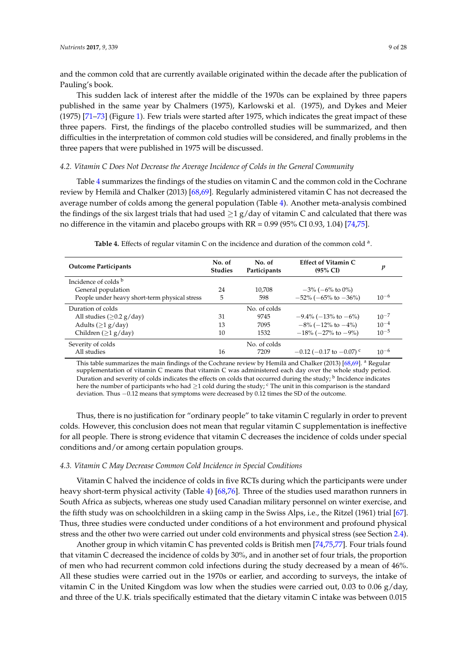and the common cold that are currently available originated within the decade after the publication of Pauling's book.

This sudden lack of interest after the middle of the 1970s can be explained by three papers published in the same year by Chalmers (1975), Karlowski et al. (1975), and Dykes and Meier (1975) [\[71–](#page-23-18)[73\]](#page-23-19) (Figure [1\)](#page-7-0). Few trials were started after 1975, which indicates the great impact of these three papers. First, the findings of the placebo controlled studies will be summarized, and then difficulties in the interpretation of common cold studies will be considered, and finally problems in the three papers that were published in 1975 will be discussed.

## *4.2. Vitamin C Does Not Decrease the Average Incidence of Colds in the General Community*

Table [4](#page-8-0) summarizes the findings of the studies on vitamin C and the common cold in the Cochrane review by Hemilä and Chalker (2013) [\[68,](#page-23-15)[69\]](#page-23-16). Regularly administered vitamin C has not decreased the average number of colds among the general population (Table [4\)](#page-8-0). Another meta-analysis combined the findings of the six largest trials that had used  $\geq$ 1 g/day of vitamin C and calculated that there was no difference in the vitamin and placebo groups with RR = 0.99 (95% CI 0.93, 1.04) [\[74,](#page-23-20)[75\]](#page-23-21).

<span id="page-8-0"></span>

| <b>Outcome Participants</b>                   | No. of<br><b>Studies</b> | No. of<br>Participants | <b>Effect of Vitamin C</b><br>$(95\% \text{ CI})$ | p         |
|-----------------------------------------------|--------------------------|------------------------|---------------------------------------------------|-----------|
| Incidence of colds b                          |                          |                        |                                                   |           |
| General population                            | 24                       | 10.708                 | $-3\%$ ( $-6\%$ to 0%)                            |           |
| People under heavy short-term physical stress | 5                        | 598                    | $-52\%$ ( $-65\%$ to $-36\%$ )                    | $10^{-6}$ |
| Duration of colds                             |                          | No. of colds           |                                                   |           |
| All studies ( $\geq$ 0.2 g/day)               | 31                       | 9745                   | $-9.4\%$ ( $-13\%$ to $-6\%$ )                    | $10^{-7}$ |
| Adults $(>1 g/day)$                           | 13                       | 7095                   | $-8\%$ ( $-12\%$ to $-4\%$ )                      | $10^{-4}$ |
| Children ( $\geq$ 1 g/day)                    | 10                       | 1532                   | $-18\%$ ( $-27\%$ to $-9\%$ )                     | $10^{-5}$ |
| Severity of colds                             |                          | No. of colds           |                                                   |           |
| All studies                                   | 16                       | 7209                   | $-0.12$ (-0.17 to -0.07) <sup>c</sup>             | $10^{-6}$ |

Table 4. Effects of regular vitamin C on the incidence and duration of the common cold <sup>a</sup>.

This table summarizes the main findings of the Cochrane review by Hemilä and Chalker (2013) [\[68](#page-23-15)[,69\]](#page-23-16). <sup>a</sup> Regular supplementation of vitamin C means that vitamin C was administered each day over the whole study period. Duration and severity of colds indicates the effects on colds that occurred during the study;  $^{\rm b}$  Incidence indicates here the number of participants who had  $\geq 1$  cold during the study; <sup>c</sup> The unit in this comparison is the standard deviation. Thus −0.12 means that symptoms were decreased by 0.12 times the SD of the outcome.

Thus, there is no justification for "ordinary people" to take vitamin C regularly in order to prevent colds. However, this conclusion does not mean that regular vitamin C supplementation is ineffective for all people. There is strong evidence that vitamin C decreases the incidence of colds under special conditions and/or among certain population groups.

## *4.3. Vitamin C May Decrease Common Cold Incidence in Special Conditions*

Vitamin C halved the incidence of colds in five RCTs during which the participants were under heavy short-term physical activity (Table [4\)](#page-8-0) [\[68,](#page-23-15)[76\]](#page-23-22). Three of the studies used marathon runners in South Africa as subjects, whereas one study used Canadian military personnel on winter exercise, and the fifth study was on schoolchildren in a skiing camp in the Swiss Alps, i.e., the Ritzel (1961) trial [\[67\]](#page-23-14). Thus, three studies were conducted under conditions of a hot environment and profound physical stress and the other two were carried out under cold environments and physical stress (see Section [2.4\)](#page-2-0).

Another group in which vitamin C has prevented colds is British men [\[74,](#page-23-20)[75,](#page-23-21)[77\]](#page-23-23). Four trials found that vitamin C decreased the incidence of colds by 30%, and in another set of four trials, the proportion of men who had recurrent common cold infections during the study decreased by a mean of 46%. All these studies were carried out in the 1970s or earlier, and according to surveys, the intake of vitamin C in the United Kingdom was low when the studies were carried out, 0.03 to 0.06  $g/day$ , and three of the U.K. trials specifically estimated that the dietary vitamin C intake was between 0.015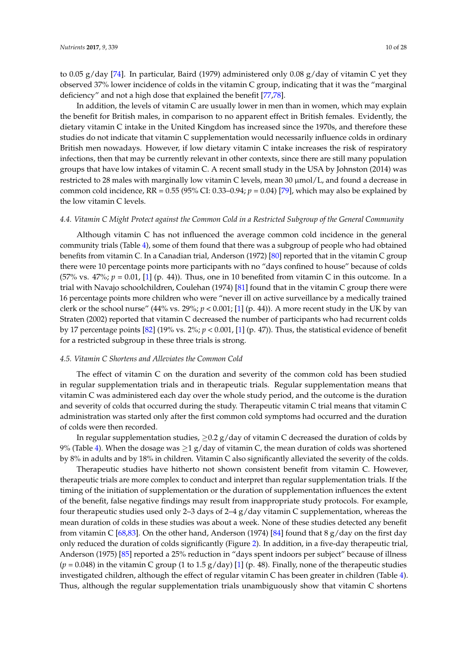to 0.05 g/day [\[74\]](#page-23-20). In particular, Baird (1979) administered only 0.08 g/day of vitamin C yet they observed 37% lower incidence of colds in the vitamin C group, indicating that it was the "marginal deficiency" and not a high dose that explained the benefit [\[77](#page-23-23)[,78\]](#page-23-24).

In addition, the levels of vitamin C are usually lower in men than in women, which may explain the benefit for British males, in comparison to no apparent effect in British females. Evidently, the dietary vitamin C intake in the United Kingdom has increased since the 1970s, and therefore these studies do not indicate that vitamin C supplementation would necessarily influence colds in ordinary British men nowadays. However, if low dietary vitamin C intake increases the risk of respiratory infections, then that may be currently relevant in other contexts, since there are still many population groups that have low intakes of vitamin C. A recent small study in the USA by Johnston (2014) was restricted to 28 males with marginally low vitamin C levels, mean 30  $\mu$ mol/L, and found a decrease in common cold incidence,  $RR = 0.55$  (95% CI: 0.33–0.94;  $p = 0.04$ ) [\[79\]](#page-24-0), which may also be explained by the low vitamin C levels.

### *4.4. Vitamin C Might Protect against the Common Cold in a Restricted Subgroup of the General Community*

Although vitamin C has not influenced the average common cold incidence in the general community trials (Table [4\)](#page-8-0), some of them found that there was a subgroup of people who had obtained benefits from vitamin C. In a Canadian trial, Anderson (1972) [\[80\]](#page-24-1) reported that in the vitamin C group there were 10 percentage points more participants with no "days confined to house" because of colds (57% vs.  $47\%$ ;  $p = 0.01$ , [\[1\]](#page-21-0) (p. 44)). Thus, one in 10 benefited from vitamin C in this outcome. In a trial with Navajo schoolchildren, Coulehan (1974) [\[81\]](#page-24-2) found that in the vitamin C group there were 16 percentage points more children who were "never ill on active surveillance by a medically trained clerk or the school nurse" (44% vs. 29%; *p* < 0.001; [\[1\]](#page-21-0) (p. 44)). A more recent study in the UK by van Straten (2002) reported that vitamin C decreased the number of participants who had recurrent colds by 17 percentage points [\[82\]](#page-24-3) (19% vs. 2%; *p* < 0.001, [\[1\]](#page-21-0) (p. 47)). Thus, the statistical evidence of benefit for a restricted subgroup in these three trials is strong.

# *4.5. Vitamin C Shortens and Alleviates the Common Cold*

The effect of vitamin C on the duration and severity of the common cold has been studied in regular supplementation trials and in therapeutic trials. Regular supplementation means that vitamin C was administered each day over the whole study period, and the outcome is the duration and severity of colds that occurred during the study. Therapeutic vitamin C trial means that vitamin C administration was started only after the first common cold symptoms had occurred and the duration of colds were then recorded.

In regular supplementation studies,  $\geq 0.2$  g/day of vitamin C decreased the duration of colds by 9% (Table [4\)](#page-8-0). When the dosage was  $\geq$ 1 g/day of vitamin C, the mean duration of colds was shortened by 8% in adults and by 18% in children. Vitamin C also significantly alleviated the severity of the colds.

Therapeutic studies have hitherto not shown consistent benefit from vitamin C. However, therapeutic trials are more complex to conduct and interpret than regular supplementation trials. If the timing of the initiation of supplementation or the duration of supplementation influences the extent of the benefit, false negative findings may result from inappropriate study protocols. For example, four therapeutic studies used only 2–3 days of 2–4  $g$ /day vitamin C supplementation, whereas the mean duration of colds in these studies was about a week. None of these studies detected any benefit from vitamin C [\[68,](#page-23-15)[83\]](#page-24-4). On the other hand, Anderson (1974) [\[84\]](#page-24-5) found that 8  $g/day$  on the first day only reduced the duration of colds significantly (Figure [2\)](#page-11-0). In addition, in a five-day therapeutic trial, Anderson (1975) [\[85\]](#page-24-6) reported a 25% reduction in "days spent indoors per subject" because of illness  $(p = 0.048)$  in the vitamin C group (1 to 1.5 g/day) [\[1\]](#page-21-0) (p. 48). Finally, none of the therapeutic studies investigated children, although the effect of regular vitamin C has been greater in children (Table [4\)](#page-8-0). Thus, although the regular supplementation trials unambiguously show that vitamin C shortens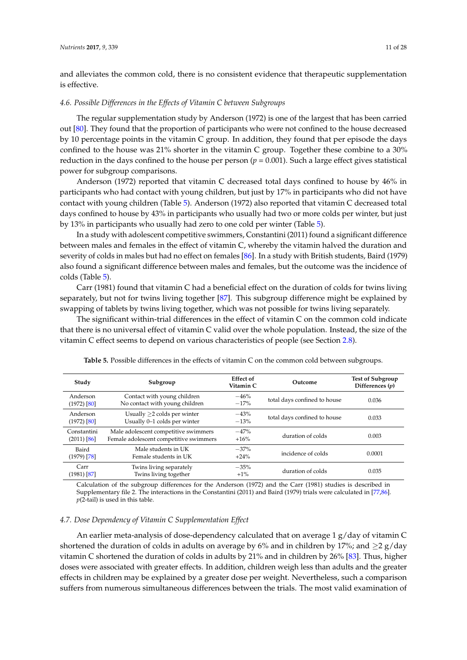and alleviates the common cold, there is no consistent evidence that therapeutic supplementation is effective.

### *4.6. Possible Differences in the Effects of Vitamin C between Subgroups*

The regular supplementation study by Anderson (1972) is one of the largest that has been carried out [\[80\]](#page-24-1). They found that the proportion of participants who were not confined to the house decreased by 10 percentage points in the vitamin C group. In addition, they found that per episode the days confined to the house was 21% shorter in the vitamin C group. Together these combine to a 30% reduction in the days confined to the house per person ( $p = 0.001$ ). Such a large effect gives statistical power for subgroup comparisons.

Anderson (1972) reported that vitamin C decreased total days confined to house by 46% in participants who had contact with young children, but just by 17% in participants who did not have contact with young children (Table [5\)](#page-10-0). Anderson (1972) also reported that vitamin C decreased total days confined to house by 43% in participants who usually had two or more colds per winter, but just by 13% in participants who usually had zero to one cold per winter (Table [5\)](#page-10-0).

In a study with adolescent competitive swimmers, Constantini (2011) found a significant difference between males and females in the effect of vitamin C, whereby the vitamin halved the duration and severity of colds in males but had no effect on females [\[86\]](#page-24-7). In a study with British students, Baird (1979) also found a significant difference between males and females, but the outcome was the incidence of colds (Table [5\)](#page-10-0).

Carr (1981) found that vitamin C had a beneficial effect on the duration of colds for twins living separately, but not for twins living together [\[87\]](#page-24-8). This subgroup difference might be explained by swapping of tablets by twins living together, which was not possible for twins living separately.

The significant within-trial differences in the effect of vitamin C on the common cold indicate that there is no universal effect of vitamin C valid over the whole population. Instead, the size of the vitamin C effect seems to depend on various characteristics of people (see Section [2.8\)](#page-3-0).

<span id="page-10-0"></span>

| Study                             | Subgroup                                                                       | Effect of<br>Vitamin C | Outcome                      | <b>Test of Subgroup</b><br>Differences $(p)$ |
|-----------------------------------|--------------------------------------------------------------------------------|------------------------|------------------------------|----------------------------------------------|
| Anderson<br>$(1972)$ [80]         | Contact with young children<br>No contact with young children                  | $-46%$<br>$-17%$       | total days confined to house | 0.036                                        |
| Anderson<br>$(1972)$ [80]         | Usually $>2$ colds per winter<br>Usually 0-1 colds per winter                  | $-43%$<br>$-13%$       | total days confined to house | 0.033                                        |
| Constantini<br>$(2011)$ [86]      | Male adolescent competitive swimmers<br>Female adolescent competitive swimmers | $-47%$<br>$+16%$       | duration of colds            | 0.003                                        |
| Baird<br>$(1979)$ [78]            | Male students in UK<br>Female students in UK                                   | $-37%$<br>$+24%$       | incidence of colds           | 0.0001                                       |
| Carr<br>(1981) [ <mark>87]</mark> | Twins living separately<br>Twins living together                               | $-35%$<br>$+1\%$       | duration of colds            | 0.035                                        |

**Table 5.** Possible differences in the effects of vitamin C on the common cold between subgroups.

Calculation of the subgroup differences for the Anderson (1972) and the Carr (1981) studies is described in Supplementary file 2. The interactions in the Constantini (2011) and Baird (1979) trials were calculated in [\[77](#page-23-23)[,86\]](#page-24-7). *p*(2-tail) is used in this table.

### *4.7. Dose Dependency of Vitamin C Supplementation Effect*

An earlier meta-analysis of dose-dependency calculated that on average 1 g/day of vitamin C shortened the duration of colds in adults on average by 6% and in children by 17%; and  $\geq 2$  g/day vitamin C shortened the duration of colds in adults by 21% and in children by 26% [\[83\]](#page-24-4). Thus, higher doses were associated with greater effects. In addition, children weigh less than adults and the greater effects in children may be explained by a greater dose per weight. Nevertheless, such a comparison suffers from numerous simultaneous differences between the trials. The most valid examination of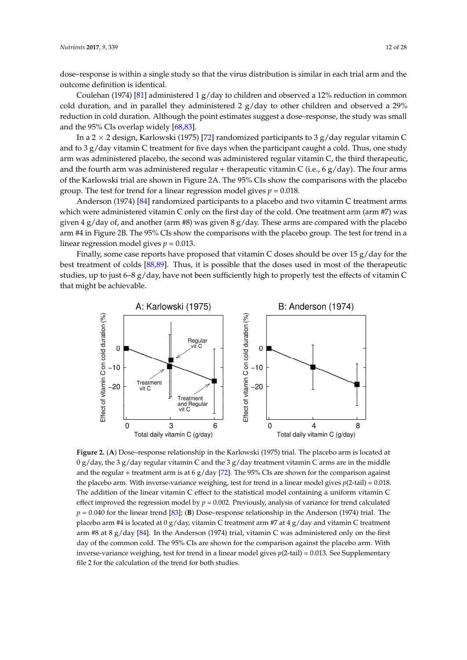dose–response is within a single study so that the virus distribution is similar in each trial arm and the outcome definition is identical.

Coulehan (1974) [\[81\]](#page-24-2) administered 1  $g$ /day to children and observed a 12% reduction in common cold duration, and in parallel they administered 2  $g/d$ ay to other children and observed a 29% reduction in cold duration. Although the point estimates suggest a dose–response, the study was small and the  $95\%$  CIs overlap widely  $[68,83]$ .

In a 2  $\times$  2 design, Karlowski (1975) [72] randomized participants to 3 g/day regular vitamin C and to 3 g/day vitamin C treatment for five days when the participant caught a cold. Thus, one study arm was administered placebo, the second was administered regular vitamin C, the third therapeutic, and the fourth arm was administered regular + therapeutic vitamin C (i.e., 6 g/day). The four arms of the Karlowski trial are shown in Figure [2A](#page-11-0). The 95% CIs show the comparisons with the placebo group. The test for trend for a linear regression model gives  $p = 0.018$ .

Anderson (1974) [\[84\]](#page-24-5) randomized participants to a placebo and two vitamin C treatment arms which were administered vitamin C only on the first day of the cold. One treatment arm (arm #7) was given 4 g/day of, and another (arm #8) was given 8 g/day. These arms are compared with the placebo given 4 g/day of, and another (arm #8) was given 8 g/day. These arms are compared with the placebo arm #4 in Figure [2B](#page-11-0). The 95% CIs show the comparisons with the placebo group. The test for trend in a arm #4 in Figure 2B. The 95% CIs show the comparisons with the placebo group. The test for trend in linear regression model gives  $p = 0.013$ . Anderson (1974) [84] randomized participants to a placebo and two vitamin C treatment arms

Finally, some case reports have proposed that vitamin C doses should be over 15 g/day for the best treatment of colds [\[88](#page-24-9)[,89\]](#page-24-10). Thus, it is possible that the doses used in most of the therapeutic best treatment of colds [88,89]. Thus, it is possible that the doses used in most of the therapeutic studies, up to just 6–8 g/day, have not been sufficiently high to properly test the effects of vitamin C that might be achievable. that might be achievable.

<span id="page-11-0"></span>

Figure 2. (A) Dose-response relationship in the Karlowski (1975) trial. The placebo arm is located at 0 g/day, the 3 g/day regular vitamin C and the 3 g/day treatment vitamin C arms are in the middle 0 g/day, the 3 g/day regular vitamin C and the 3 g/day treatment vitamin C arms are in the middle and the regular + treatment arm is at 6 g/day [\[72\]](#page-23-25). The 95% CIs are shown for the comparison against the placebo arm. With inverse‐variance weighing, test for trend in a linear model gives *p*(2‐tail) = the placebo arm. With inverse-variance weighing, test for trend in a linear model gives *p*(2-tail) = 0.018. The addition of the linear vitamin C effect to the statistical model containing a uniform vitamin C effect improved the regression model by  $p = 0.002$ . Previously, analysis of variance for trend calculated  $p = 0.040$  for the linear trend [\[83\]](#page-24-4); (B) Dose–response relationship in the Anderson (1974) trial. The placebo arm #4 is located at 0 g/day, vitamin C treatment arm #7 at 4 g/day and vitamin C treatment treatment arm #8 at 8 g/day [84]. In the Anderson (1974) trial, vitamin C was administered only on arm #8 at 8 g/day [\[84\]](#page-24-5). In the Anderson (1974) trial, vitamin C was administered only on the first<br> $\frac{1}{2}$ day of the common cold. The 95% CIs are shown for the comparison against the placebo arm. With inverse-variance weighing, test for trend in a linear model gives  $p(2\t-tail) = 0.013$ . See Supplementary file 2 for the calculation of the trend for both studies.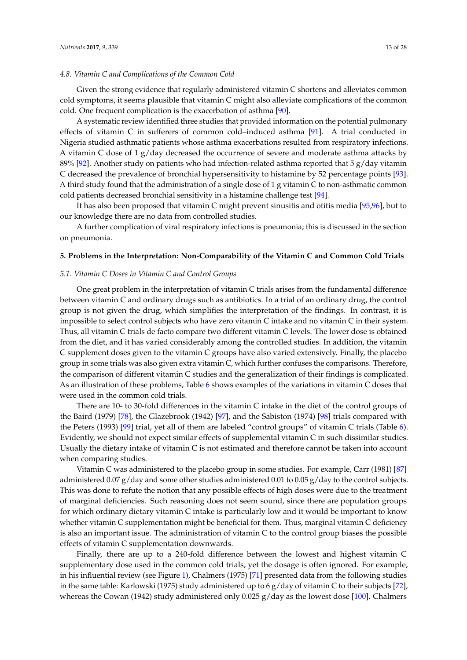### *4.8. Vitamin C and Complications of the Common Cold*

Given the strong evidence that regularly administered vitamin C shortens and alleviates common cold symptoms, it seems plausible that vitamin C might also alleviate complications of the common cold. One frequent complication is the exacerbation of asthma [\[90\]](#page-24-11).

A systematic review identified three studies that provided information on the potential pulmonary effects of vitamin C in sufferers of common cold–induced asthma [\[91\]](#page-24-12). A trial conducted in Nigeria studied asthmatic patients whose asthma exacerbations resulted from respiratory infections. A vitamin C dose of  $1 g/day$  decreased the occurrence of severe and moderate asthma attacks by 89% [\[92\]](#page-24-13). Another study on patients who had infection-related asthma reported that 5 g/day vitamin C decreased the prevalence of bronchial hypersensitivity to histamine by 52 percentage points [\[93\]](#page-24-14). A third study found that the administration of a single dose of 1 g vitamin C to non-asthmatic common cold patients decreased bronchial sensitivity in a histamine challenge test [\[94\]](#page-24-15).

It has also been proposed that vitamin C might prevent sinusitis and otitis media [\[95](#page-24-16)[,96\]](#page-24-17), but to our knowledge there are no data from controlled studies.

A further complication of viral respiratory infections is pneumonia; this is discussed in the section on pneumonia.

## **5. Problems in the Interpretation: Non-Comparability of the Vitamin C and Common Cold Trials**

#### *5.1. Vitamin C Doses in Vitamin C and Control Groups*

One great problem in the interpretation of vitamin C trials arises from the fundamental difference between vitamin C and ordinary drugs such as antibiotics. In a trial of an ordinary drug, the control group is not given the drug, which simplifies the interpretation of the findings. In contrast, it is impossible to select control subjects who have zero vitamin C intake and no vitamin C in their system. Thus, all vitamin C trials de facto compare two different vitamin C levels. The lower dose is obtained from the diet, and it has varied considerably among the controlled studies. In addition, the vitamin C supplement doses given to the vitamin C groups have also varied extensively. Finally, the placebo group in some trials was also given extra vitamin C, which further confuses the comparisons. Therefore, the comparison of different vitamin C studies and the generalization of their findings is complicated. As an illustration of these problems, Table [6](#page-13-0) shows examples of the variations in vitamin C doses that were used in the common cold trials.

There are 10- to 30-fold differences in the vitamin C intake in the diet of the control groups of the Baird (1979) [\[78\]](#page-23-24), the Glazebrook (1942) [\[97\]](#page-24-18), and the Sabiston (1974) [\[98\]](#page-24-19) trials compared with the Peters (1993) [\[99\]](#page-24-20) trial, yet all of them are labeled "control groups" of vitamin C trials (Table [6\)](#page-13-0). Evidently, we should not expect similar effects of supplemental vitamin C in such dissimilar studies. Usually the dietary intake of vitamin C is not estimated and therefore cannot be taken into account when comparing studies.

Vitamin C was administered to the placebo group in some studies. For example, Carr (1981) [\[87\]](#page-24-8) administered 0.07 g/day and some other studies administered 0.01 to 0.05 g/day to the control subjects. This was done to refute the notion that any possible effects of high doses were due to the treatment of marginal deficiencies. Such reasoning does not seem sound, since there are population groups for which ordinary dietary vitamin C intake is particularly low and it would be important to know whether vitamin C supplementation might be beneficial for them. Thus, marginal vitamin C deficiency is also an important issue. The administration of vitamin C to the control group biases the possible effects of vitamin C supplementation downwards.

Finally, there are up to a 240-fold difference between the lowest and highest vitamin C supplementary dose used in the common cold trials, yet the dosage is often ignored. For example, in his influential review (see Figure [1\)](#page-7-0), Chalmers (1975) [\[71\]](#page-23-18) presented data from the following studies in the same table: Karlowski (1975) study administered up to  $6 g/day$  of vitamin C to their subjects [\[72\]](#page-23-25), whereas the Cowan (1942) study administered only 0.025 g/day as the lowest dose [\[100\]](#page-24-21). Chalmers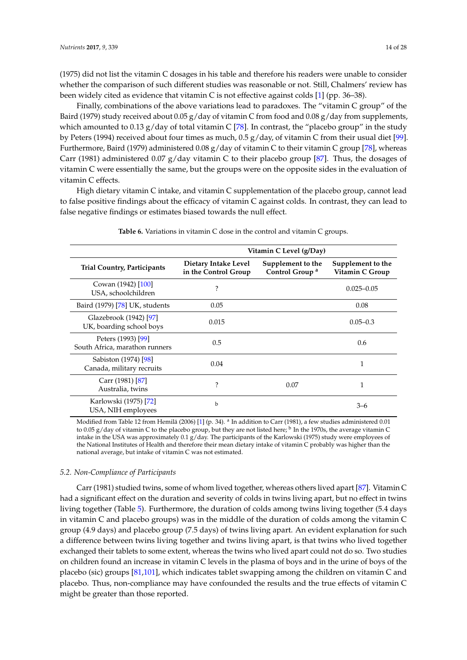(1975) did not list the vitamin C dosages in his table and therefore his readers were unable to consider whether the comparison of such different studies was reasonable or not. Still, Chalmers' review has been widely cited as evidence that vitamin C is not effective against colds [\[1\]](#page-21-0) (pp. 36–38).

Finally, combinations of the above variations lead to paradoxes. The "vitamin C group" of the Baird (1979) study received about  $0.05$  g/day of vitamin C from food and  $0.08$  g/day from supplements, which amounted to 0.13 g/day of total vitamin C [\[78\]](#page-23-24). In contrast, the "placebo group" in the study by Peters (1994) received about four times as much, 0.5 g/day, of vitamin C from their usual diet [\[99\]](#page-24-20). Furthermore, Baird (1979) administered 0.08 g/day of vitamin C to their vitamin C group [\[78\]](#page-23-24), whereas Carr (1981) administered 0.07  $g$ /day vitamin C to their placebo group [\[87\]](#page-24-8). Thus, the dosages of vitamin C were essentially the same, but the groups were on the opposite sides in the evaluation of vitamin C effects.

High dietary vitamin C intake, and vitamin C supplementation of the placebo group, cannot lead to false positive findings about the efficacy of vitamin C against colds. In contrast, they can lead to false negative findings or estimates biased towards the null effect.

<span id="page-13-0"></span>

|                                                      | Vitamin C Level (g/Day)                      |                                                 |                                      |  |
|------------------------------------------------------|----------------------------------------------|-------------------------------------------------|--------------------------------------|--|
| <b>Trial Country, Participants</b>                   | Dietary Intake Level<br>in the Control Group | Supplement to the<br>Control Group <sup>a</sup> | Supplement to the<br>Vitamin C Group |  |
| Cowan (1942) [100]<br>USA, schoolchildren            | ?                                            |                                                 | $0.025 - 0.05$                       |  |
| Baird (1979) [78] UK, students                       | 0.05                                         |                                                 | 0.08                                 |  |
| Glazebrook (1942) [97]<br>UK, boarding school boys   | 0.015                                        |                                                 | $0.05 - 0.3$                         |  |
| Peters (1993) [99]<br>South Africa, marathon runners | 0.5                                          |                                                 | 0.6                                  |  |
| Sabiston (1974) [98]<br>Canada, military recruits    | 0.04                                         |                                                 | 1                                    |  |
| Carr (1981) [87]<br>Australia, twins                 | $\overline{\cdot}$                           | 0.07                                            | $\mathbf{1}$                         |  |
| Karlowski (1975) [72]<br>USA, NIH employees          | $\mathbf b$                                  |                                                 | $3-6$                                |  |

**Table 6.** Variations in vitamin C dose in the control and vitamin C groups.

Modified from Table 12 from Hemilä (2006) [\[1\]](#page-21-0) (p. 34). <sup>a</sup> In addition to Carr (1981), a few studies administered 0.01 to 0.05 g/day of vitamin C to the placebo group, but they are not listed here; <sup>b</sup> In the 1970s, the average vitamin C intake in the USA was approximately 0.1 g/day. The participants of the Karlowski (1975) study were employees of the National Institutes of Health and therefore their mean dietary intake of vitamin C probably was higher than the national average, but intake of vitamin C was not estimated.

# *5.2. Non-Compliance of Participants*

Carr (1981) studied twins, some of whom lived together, whereas others lived apart [\[87\]](#page-24-8). Vitamin C had a significant effect on the duration and severity of colds in twins living apart, but no effect in twins living together (Table [5\)](#page-10-0). Furthermore, the duration of colds among twins living together (5.4 days in vitamin C and placebo groups) was in the middle of the duration of colds among the vitamin C group (4.9 days) and placebo group (7.5 days) of twins living apart. An evident explanation for such a difference between twins living together and twins living apart, is that twins who lived together exchanged their tablets to some extent, whereas the twins who lived apart could not do so. Two studies on children found an increase in vitamin C levels in the plasma of boys and in the urine of boys of the placebo (sic) groups [\[81](#page-24-2)[,101\]](#page-24-22), which indicates tablet swapping among the children on vitamin C and placebo. Thus, non-compliance may have confounded the results and the true effects of vitamin C might be greater than those reported.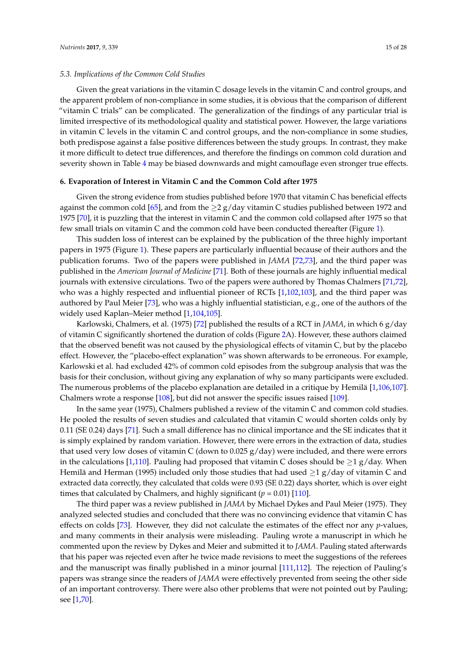# *5.3. Implications of the Common Cold Studies*

Given the great variations in the vitamin C dosage levels in the vitamin C and control groups, and the apparent problem of non-compliance in some studies, it is obvious that the comparison of different "vitamin C trials" can be complicated. The generalization of the findings of any particular trial is limited irrespective of its methodological quality and statistical power. However, the large variations in vitamin C levels in the vitamin C and control groups, and the non-compliance in some studies, both predispose against a false positive differences between the study groups. In contrast, they make it more difficult to detect true differences, and therefore the findings on common cold duration and severity shown in Table [4](#page-8-0) may be biased downwards and might camouflage even stronger true effects.

### **6. Evaporation of Interest in Vitamin C and the Common Cold after 1975**

Given the strong evidence from studies published before 1970 that vitamin C has beneficial effects against the common cold [\[65\]](#page-23-12), and from the  $\geq 2$  g/day vitamin C studies published between 1972 and 1975 [\[70\]](#page-23-17), it is puzzling that the interest in vitamin C and the common cold collapsed after 1975 so that few small trials on vitamin C and the common cold have been conducted thereafter (Figure [1\)](#page-7-0).

This sudden loss of interest can be explained by the publication of the three highly important papers in 1975 (Figure [1\)](#page-7-0). These papers are particularly influential because of their authors and the publication forums. Two of the papers were published in *JAMA* [\[72](#page-23-25)[,73\]](#page-23-19), and the third paper was published in the *American Journal of Medicine* [\[71\]](#page-23-18). Both of these journals are highly influential medical journals with extensive circulations. Two of the papers were authored by Thomas Chalmers [\[71,](#page-23-18)[72\]](#page-23-25), who was a highly respected and influential pioneer of RCTs [\[1](#page-21-0)[,102,](#page-24-23)[103\]](#page-24-24), and the third paper was authored by Paul Meier [\[73\]](#page-23-19), who was a highly influential statistician, e.g., one of the authors of the widely used Kaplan–Meier method [\[1](#page-21-0)[,104,](#page-24-25)[105\]](#page-25-0).

Karlowski, Chalmers, et al. (1975) [\[72\]](#page-23-25) published the results of a RCT in *JAMA*, in which 6 g/day of vitamin C significantly shortened the duration of colds (Figure [2A](#page-11-0)). However, these authors claimed that the observed benefit was not caused by the physiological effects of vitamin C, but by the placebo effect. However, the "placebo-effect explanation" was shown afterwards to be erroneous. For example, Karlowski et al. had excluded 42% of common cold episodes from the subgroup analysis that was the basis for their conclusion, without giving any explanation of why so many participants were excluded. The numerous problems of the placebo explanation are detailed in a critique by Hemilä [\[1,](#page-21-0)[106,](#page-25-1)[107\]](#page-25-2). Chalmers wrote a response [\[108\]](#page-25-3), but did not answer the specific issues raised [\[109\]](#page-25-4).

In the same year (1975), Chalmers published a review of the vitamin C and common cold studies. He pooled the results of seven studies and calculated that vitamin C would shorten colds only by 0.11 (SE 0.24) days [\[71\]](#page-23-18). Such a small difference has no clinical importance and the SE indicates that it is simply explained by random variation. However, there were errors in the extraction of data, studies that used very low doses of vitamin C (down to 0.025 g/day) were included, and there were errors in the calculations [\[1](#page-21-0)[,110\]](#page-25-5). Pauling had proposed that vitamin C doses should be  $\geq 1$  g/day. When Hemilä and Herman (1995) included only those studies that had used  $\geq 1$  g/day of vitamin C and extracted data correctly, they calculated that colds were 0.93 (SE 0.22) days shorter, which is over eight times that calculated by Chalmers, and highly significant  $(p = 0.01)$  [\[110\]](#page-25-5).

The third paper was a review published in *JAMA* by Michael Dykes and Paul Meier (1975). They analyzed selected studies and concluded that there was no convincing evidence that vitamin C has effects on colds [\[73\]](#page-23-19). However, they did not calculate the estimates of the effect nor any *p*-values, and many comments in their analysis were misleading. Pauling wrote a manuscript in which he commented upon the review by Dykes and Meier and submitted it to *JAMA*. Pauling stated afterwards that his paper was rejected even after he twice made revisions to meet the suggestions of the referees and the manuscript was finally published in a minor journal [\[111](#page-25-6)[,112\]](#page-25-7). The rejection of Pauling's papers was strange since the readers of *JAMA* were effectively prevented from seeing the other side of an important controversy. There were also other problems that were not pointed out by Pauling; see [\[1,](#page-21-0)[70\]](#page-23-17).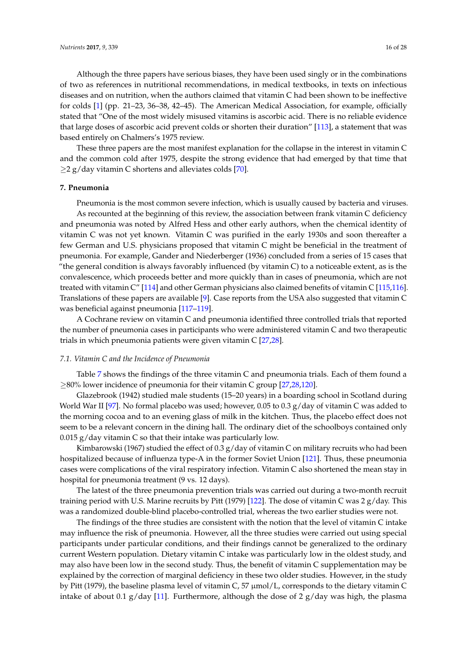Although the three papers have serious biases, they have been used singly or in the combinations of two as references in nutritional recommendations, in medical textbooks, in texts on infectious diseases and on nutrition, when the authors claimed that vitamin C had been shown to be ineffective for colds [\[1\]](#page-21-0) (pp. 21–23, 36–38, 42–45). The American Medical Association, for example, officially stated that "One of the most widely misused vitamins is ascorbic acid. There is no reliable evidence that large doses of ascorbic acid prevent colds or shorten their duration" [\[113\]](#page-25-8), a statement that was based entirely on Chalmers's 1975 review.

These three papers are the most manifest explanation for the collapse in the interest in vitamin C and the common cold after 1975, despite the strong evidence that had emerged by that time that  $\geq$  2 g/day vitamin C shortens and alleviates colds [\[70\]](#page-23-17).

### **7. Pneumonia**

Pneumonia is the most common severe infection, which is usually caused by bacteria and viruses. As recounted at the beginning of this review, the association between frank vitamin C deficiency and pneumonia was noted by Alfred Hess and other early authors, when the chemical identity of vitamin C was not yet known. Vitamin C was purified in the early 1930s and soon thereafter a few German and U.S. physicians proposed that vitamin C might be beneficial in the treatment of pneumonia. For example, Gander and Niederberger (1936) concluded from a series of 15 cases that "the general condition is always favorably influenced (by vitamin C) to a noticeable extent, as is the convalescence, which proceeds better and more quickly than in cases of pneumonia, which are not treated with vitamin C" [\[114\]](#page-25-9) and other German physicians also claimed benefits of vitamin C [\[115](#page-25-10)[,116\]](#page-25-11). Translations of these papers are available [\[9\]](#page-21-8). Case reports from the USA also suggested that vitamin C was beneficial against pneumonia [\[117](#page-25-12)[–119\]](#page-25-13).

A Cochrane review on vitamin C and pneumonia identified three controlled trials that reported the number of pneumonia cases in participants who were administered vitamin C and two therapeutic trials in which pneumonia patients were given vitamin C [\[27,](#page-21-24)[28\]](#page-22-0).

## *7.1. Vitamin C and the Incidence of Pneumonia*

Table [7](#page-16-0) shows the findings of the three vitamin C and pneumonia trials. Each of them found a ≥80% lower incidence of pneumonia for their vitamin C group [\[27,](#page-21-24)[28,](#page-22-0)[120\]](#page-25-14).

Glazebrook (1942) studied male students (15–20 years) in a boarding school in Scotland during World War II [\[97\]](#page-24-18). No formal placebo was used; however, 0.05 to 0.3 g/day of vitamin C was added to the morning cocoa and to an evening glass of milk in the kitchen. Thus, the placebo effect does not seem to be a relevant concern in the dining hall. The ordinary diet of the schoolboys contained only  $0.015$  g/day vitamin C so that their intake was particularly low.

Kimbarowski (1967) studied the effect of 0.3  $g$ /day of vitamin C on military recruits who had been hospitalized because of influenza type-A in the former Soviet Union [\[121\]](#page-25-15). Thus, these pneumonia cases were complications of the viral respiratory infection. Vitamin C also shortened the mean stay in hospital for pneumonia treatment (9 vs. 12 days).

The latest of the three pneumonia prevention trials was carried out during a two-month recruit training period with U.S. Marine recruits by Pitt (1979) [\[122\]](#page-25-16). The dose of vitamin C was 2 g/day. This was a randomized double-blind placebo-controlled trial, whereas the two earlier studies were not.

The findings of the three studies are consistent with the notion that the level of vitamin C intake may influence the risk of pneumonia. However, all the three studies were carried out using special participants under particular conditions, and their findings cannot be generalized to the ordinary current Western population. Dietary vitamin C intake was particularly low in the oldest study, and may also have been low in the second study. Thus, the benefit of vitamin C supplementation may be explained by the correction of marginal deficiency in these two older studies. However, in the study by Pitt (1979), the baseline plasma level of vitamin C, 57 µmol/L, corresponds to the dietary vitamin C intake of about 0.1 g/day [\[11\]](#page-21-10). Furthermore, although the dose of 2 g/day was high, the plasma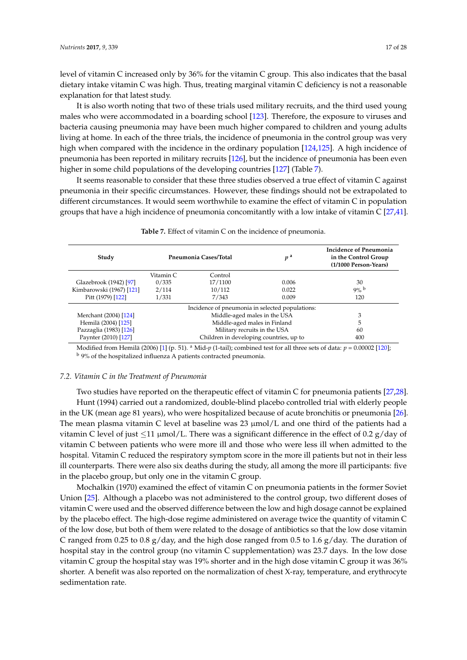level of vitamin C increased only by 36% for the vitamin C group. This also indicates that the basal dietary intake vitamin C was high. Thus, treating marginal vitamin C deficiency is not a reasonable explanation for that latest study.

It is also worth noting that two of these trials used military recruits, and the third used young males who were accommodated in a boarding school [\[123\]](#page-25-17). Therefore, the exposure to viruses and bacteria causing pneumonia may have been much higher compared to children and young adults living at home. In each of the three trials, the incidence of pneumonia in the control group was very high when compared with the incidence in the ordinary population [\[124](#page-25-18)[,125\]](#page-25-19). A high incidence of pneumonia has been reported in military recruits [\[126\]](#page-25-20), but the incidence of pneumonia has been even higher in some child populations of the developing countries [\[127\]](#page-25-21) (Table [7\)](#page-16-0).

It seems reasonable to consider that these three studies observed a true effect of vitamin C against pneumonia in their specific circumstances. However, these findings should not be extrapolated to different circumstances. It would seem worthwhile to examine the effect of vitamin C in population groups that have a high incidence of pneumonia concomitantly with a low intake of vitamin C [\[27](#page-21-24)[,41\]](#page-22-11).

<span id="page-16-0"></span>

| Study                                           | Pneumonia Cases/Total        |                                         | p <sup>a</sup> | <b>Incidence of Pneumonia</b><br>in the Control Group<br>(1/1000 Person-Years) |
|-------------------------------------------------|------------------------------|-----------------------------------------|----------------|--------------------------------------------------------------------------------|
|                                                 | Vitamin C                    | Control                                 |                |                                                                                |
| Glazebrook (1942) [97]                          | 0/335                        | 17/1100                                 | 0.006          | 30                                                                             |
| Kimbarowski (1967) [121]                        | 2/114                        | 10/112                                  | 0.022          | $9\%$ b                                                                        |
| Pitt (1979) [122]                               | 1/331                        | 7/343<br>0.009                          |                | 120                                                                            |
| Incidence of pneumonia in selected populations: |                              |                                         |                |                                                                                |
| Merchant (2004) [124]                           |                              | Middle-aged males in the USA            | 3              |                                                                                |
| Hemilä (2004) [125]                             | Middle-aged males in Finland |                                         |                | 5                                                                              |
| Pazzaglia (1983) [126]                          | Military recruits in the USA |                                         |                | 60                                                                             |
| Paynter (2010) [127]                            |                              | Children in developing countries, up to | 400            |                                                                                |

**Table 7.** Effect of vitamin C on the incidence of pneumonia.

Modified from Hemilä (2006) [\[1\]](#page-21-0) (p. 51). <sup>a</sup> Mid- $p$  (1-tail); combined test for all three sets of data:  $p = 0.00002$  [\[120\]](#page-25-14); <sup>b</sup> 9% of the hospitalized influenza A patients contracted pneumonia.

### *7.2. Vitamin C in the Treatment of Pneumonia*

Two studies have reported on the therapeutic effect of vitamin C for pneumonia patients [\[27,](#page-21-24)[28\]](#page-22-0). Hunt (1994) carried out a randomized, double-blind placebo controlled trial with elderly people in the UK (mean age 81 years), who were hospitalized because of acute bronchitis or pneumonia [\[26\]](#page-21-25). The mean plasma vitamin C level at baseline was 23 µmol/L and one third of the patients had a vitamin C level of just  $\leq$ 11 μmol/L. There was a significant difference in the effect of 0.2 g/day of vitamin C between patients who were more ill and those who were less ill when admitted to the hospital. Vitamin C reduced the respiratory symptom score in the more ill patients but not in their less ill counterparts. There were also six deaths during the study, all among the more ill participants: five in the placebo group, but only one in the vitamin C group.

Mochalkin (1970) examined the effect of vitamin C on pneumonia patients in the former Soviet Union [\[25\]](#page-21-23). Although a placebo was not administered to the control group, two different doses of vitamin C were used and the observed difference between the low and high dosage cannot be explained by the placebo effect. The high-dose regime administered on average twice the quantity of vitamin C of the low dose, but both of them were related to the dosage of antibiotics so that the low dose vitamin C ranged from 0.25 to 0.8 g/day, and the high dose ranged from 0.5 to 1.6 g/day. The duration of hospital stay in the control group (no vitamin C supplementation) was 23.7 days. In the low dose vitamin C group the hospital stay was 19% shorter and in the high dose vitamin C group it was 36% shorter. A benefit was also reported on the normalization of chest X-ray, temperature, and erythrocyte sedimentation rate.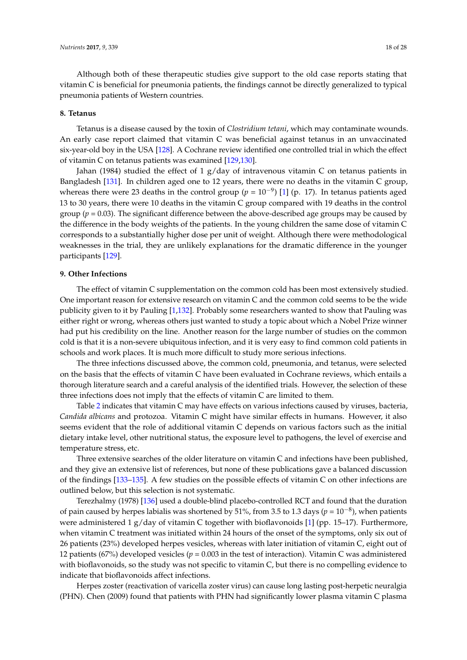Although both of these therapeutic studies give support to the old case reports stating that vitamin C is beneficial for pneumonia patients, the findings cannot be directly generalized to typical pneumonia patients of Western countries.

### **8. Tetanus**

Tetanus is a disease caused by the toxin of *Clostridium tetani*, which may contaminate wounds. An early case report claimed that vitamin C was beneficial against tetanus in an unvaccinated six-year-old boy in the USA [\[128\]](#page-25-22). A Cochrane review identified one controlled trial in which the effect of vitamin C on tetanus patients was examined [\[129,](#page-25-23)[130\]](#page-25-24).

Jahan (1984) studied the effect of 1  $g/day$  of intravenous vitamin C on tetanus patients in Bangladesh [\[131\]](#page-25-25). In children aged one to 12 years, there were no deaths in the vitamin C group, whereas there were 23 deaths in the control group  $(p = 10^{-9})$  [\[1\]](#page-21-0) (p. 17). In tetanus patients aged 13 to 30 years, there were 10 deaths in the vitamin C group compared with 19 deaths in the control group ( $p = 0.03$ ). The significant difference between the above-described age groups may be caused by the difference in the body weights of the patients. In the young children the same dose of vitamin C corresponds to a substantially higher dose per unit of weight. Although there were methodological weaknesses in the trial, they are unlikely explanations for the dramatic difference in the younger participants [\[129\]](#page-25-23).

#### **9. Other Infections**

The effect of vitamin C supplementation on the common cold has been most extensively studied. One important reason for extensive research on vitamin C and the common cold seems to be the wide publicity given to it by Pauling [\[1,](#page-21-0)[132\]](#page-25-26). Probably some researchers wanted to show that Pauling was either right or wrong, whereas others just wanted to study a topic about which a Nobel Prize winner had put his credibility on the line. Another reason for the large number of studies on the common cold is that it is a non-severe ubiquitous infection, and it is very easy to find common cold patients in schools and work places. It is much more difficult to study more serious infections.

The three infections discussed above, the common cold, pneumonia, and tetanus, were selected on the basis that the effects of vitamin C have been evaluated in Cochrane reviews, which entails a thorough literature search and a careful analysis of the identified trials. However, the selection of these three infections does not imply that the effects of vitamin C are limited to them.

Table [2](#page-5-1) indicates that vitamin C may have effects on various infections caused by viruses, bacteria, *Candida albicans* and protozoa. Vitamin C might have similar effects in humans. However, it also seems evident that the role of additional vitamin C depends on various factors such as the initial dietary intake level, other nutritional status, the exposure level to pathogens, the level of exercise and temperature stress, etc.

Three extensive searches of the older literature on vitamin C and infections have been published, and they give an extensive list of references, but none of these publications gave a balanced discussion of the findings [\[133](#page-26-0)[–135\]](#page-26-1). A few studies on the possible effects of vitamin C on other infections are outlined below, but this selection is not systematic.

Terezhalmy (1978) [\[136\]](#page-26-2) used a double-blind placebo-controlled RCT and found that the duration of pain caused by herpes labialis was shortened by 51%, from 3.5 to 1.3 days ( $p = 10^{-8}$ ), when patients were administered 1 g/day of vitamin C together with bioflavonoids [\[1\]](#page-21-0) (pp. 15-17). Furthermore, when vitamin C treatment was initiated within 24 hours of the onset of the symptoms, only six out of 26 patients (23%) developed herpes vesicles, whereas with later initiation of vitamin C, eight out of 12 patients (67%) developed vesicles ( $p = 0.003$  in the test of interaction). Vitamin C was administered with bioflavonoids, so the study was not specific to vitamin C, but there is no compelling evidence to indicate that bioflavonoids affect infections.

Herpes zoster (reactivation of varicella zoster virus) can cause long lasting post-herpetic neuralgia (PHN). Chen (2009) found that patients with PHN had significantly lower plasma vitamin C plasma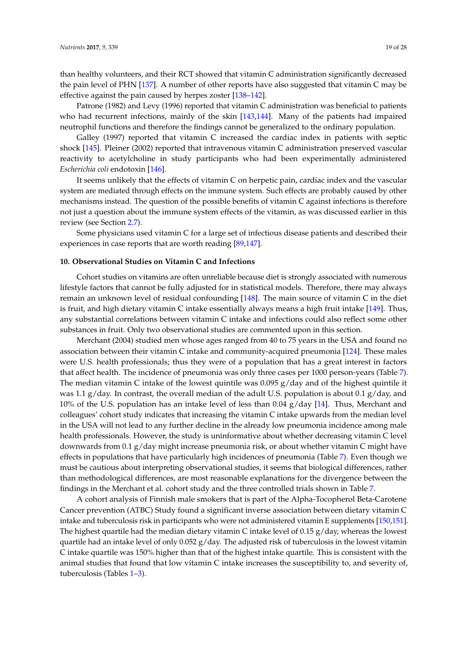than healthy volunteers, and their RCT showed that vitamin C administration significantly decreased the pain level of PHN [\[137\]](#page-26-3). A number of other reports have also suggested that vitamin C may be effective against the pain caused by herpes zoster [\[138](#page-26-4)[–142\]](#page-26-5).

Patrone (1982) and Levy (1996) reported that vitamin C administration was beneficial to patients who had recurrent infections, mainly of the skin [\[143,](#page-26-6)[144\]](#page-26-7). Many of the patients had impaired neutrophil functions and therefore the findings cannot be generalized to the ordinary population.

Galley (1997) reported that vitamin C increased the cardiac index in patients with septic shock [\[145\]](#page-26-8). Pleiner (2002) reported that intravenous vitamin C administration preserved vascular reactivity to acetylcholine in study participants who had been experimentally administered *Escherichia coli* endotoxin [\[146\]](#page-26-9).

It seems unlikely that the effects of vitamin C on herpetic pain, cardiac index and the vascular system are mediated through effects on the immune system. Such effects are probably caused by other mechanisms instead. The question of the possible benefits of vitamin C against infections is therefore not just a question about the immune system effects of the vitamin, as was discussed earlier in this review (see Section [2.7\)](#page-3-1).

Some physicians used vitamin C for a large set of infectious disease patients and described their experiences in case reports that are worth reading [\[89,](#page-24-10)[147\]](#page-26-10).

# **10. Observational Studies on Vitamin C and Infections**

Cohort studies on vitamins are often unreliable because diet is strongly associated with numerous lifestyle factors that cannot be fully adjusted for in statistical models. Therefore, there may always remain an unknown level of residual confounding [\[148\]](#page-26-11). The main source of vitamin C in the diet is fruit, and high dietary vitamin C intake essentially always means a high fruit intake [\[149\]](#page-26-12). Thus, any substantial correlations between vitamin C intake and infections could also reflect some other substances in fruit. Only two observational studies are commented upon in this section.

Merchant (2004) studied men whose ages ranged from 40 to 75 years in the USA and found no association between their vitamin C intake and community-acquired pneumonia [\[124\]](#page-25-18). These males were U.S. health professionals; thus they were of a population that has a great interest in factors that affect health. The incidence of pneumonia was only three cases per 1000 person-years (Table [7\)](#page-16-0). The median vitamin C intake of the lowest quintile was  $0.095$  g/day and of the highest quintile it was 1.1 g/day. In contrast, the overall median of the adult U.S. population is about 0.1 g/day, and 10% of the U.S. population has an intake level of less than 0.04 g/day [\[14\]](#page-21-12). Thus, Merchant and colleagues' cohort study indicates that increasing the vitamin C intake upwards from the median level in the USA will not lead to any further decline in the already low pneumonia incidence among male health professionals. However, the study is uninformative about whether decreasing vitamin C level downwards from 0.1 g/day might increase pneumonia risk, or about whether vitamin C might have effects in populations that have particularly high incidences of pneumonia (Table [7\)](#page-16-0). Even though we must be cautious about interpreting observational studies, it seems that biological differences, rather than methodological differences, are most reasonable explanations for the divergence between the findings in the Merchant et al. cohort study and the three controlled trials shown in Table [7.](#page-16-0)

A cohort analysis of Finnish male smokers that is part of the Alpha-Tocopherol Beta-Carotene Cancer prevention (ATBC) Study found a significant inverse association between dietary vitamin C intake and tuberculosis risk in participants who were not administered vitamin E supplements [\[150,](#page-26-13)[151\]](#page-26-14). The highest quartile had the median dietary vitamin C intake level of 0.15  $g$ /day, whereas the lowest quartile had an intake level of only  $0.052$  g/day. The adjusted risk of tuberculosis in the lowest vitamin C intake quartile was 150% higher than that of the highest intake quartile. This is consistent with the animal studies that found that low vitamin C intake increases the susceptibility to, and severity of, tuberculosis (Tables [1–](#page-4-0)[3\)](#page-5-0).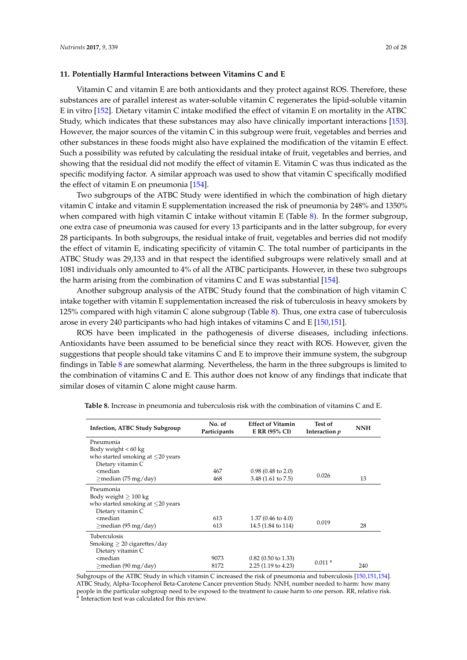### **11. Potentially Harmful Interactions between Vitamins C and E**

Vitamin C and vitamin E are both antioxidants and they protect against ROS. Therefore, these substances are of parallel interest as water-soluble vitamin C regenerates the lipid-soluble vitamin E in vitro [\[152\]](#page-26-15). Dietary vitamin C intake modified the effect of vitamin E on mortality in the ATBC Study, which indicates that these substances may also have clinically important interactions [\[153\]](#page-26-16). However, the major sources of the vitamin C in this subgroup were fruit, vegetables and berries and other substances in these foods might also have explained the modification of the vitamin E effect. Such a possibility was refuted by calculating the residual intake of fruit, vegetables and berries, and showing that the residual did not modify the effect of vitamin E. Vitamin C was thus indicated as the specific modifying factor. A similar approach was used to show that vitamin C specifically modified the effect of vitamin E on pneumonia [\[154\]](#page-26-17).

Two subgroups of the ATBC Study were identified in which the combination of high dietary vitamin C intake and vitamin E supplementation increased the risk of pneumonia by 248% and 1350% when compared with high vitamin C intake without vitamin E (Table [8\)](#page-19-0). In the former subgroup, one extra case of pneumonia was caused for every 13 participants and in the latter subgroup, for every 28 participants. In both subgroups, the residual intake of fruit, vegetables and berries did not modify the effect of vitamin E, indicating specificity of vitamin C. The total number of participants in the ATBC Study was 29,133 and in that respect the identified subgroups were relatively small and at 1081 individuals only amounted to 4% of all the ATBC participants. However, in these two subgroups the harm arising from the combination of vitamins C and E was substantial [\[154\]](#page-26-17).

Another subgroup analysis of the ATBC Study found that the combination of high vitamin C intake together with vitamin E supplementation increased the risk of tuberculosis in heavy smokers by 125% compared with high vitamin C alone subgroup (Table [8\)](#page-19-0). Thus, one extra case of tuberculosis arose in every 240 participants who had high intakes of vitamins C and E [\[150](#page-26-13)[,151\]](#page-26-14).

ROS have been implicated in the pathogenesis of diverse diseases, including infections. Antioxidants have been assumed to be beneficial since they react with ROS. However, given the suggestions that people should take vitamins C and E to improve their immune system, the subgroup findings in Table [8](#page-19-0) are somewhat alarming. Nevertheless, the harm in the three subgroups is limited to the combination of vitamins C and E. This author does not know of any findings that indicate that similar doses of vitamin C alone might cause harm.

| <b>Infection, ATBC Study Subgroup</b>                                                                        | No. of<br>Participants | <b>Effect of Vitamin</b><br>E RR (95% CI) | Test of<br>Interaction p | <b>NNH</b> |
|--------------------------------------------------------------------------------------------------------------|------------------------|-------------------------------------------|--------------------------|------------|
| Pneumonia                                                                                                    |                        |                                           |                          |            |
| Body weight $< 60 \text{ kg}$                                                                                |                        |                                           |                          |            |
| who started smoking at $\leq$ 20 years                                                                       |                        |                                           |                          |            |
| Dietary vitamin C                                                                                            |                        |                                           |                          |            |
| <median< td=""><td>467</td><td><math>0.98</math> (0.48 to 2.0)</td><td>0.026</td><td></td></median<>         | 467                    | $0.98$ (0.48 to 2.0)                      | 0.026                    |            |
| $\geq$ median (75 mg/day)                                                                                    | 468                    | $3.48(1.61 \text{ to } 7.5)$              |                          | 13         |
| Pneumonia                                                                                                    |                        |                                           |                          |            |
| Body weight $\geq 100$ kg                                                                                    |                        |                                           |                          |            |
| who started smoking at $\leq$ 20 years                                                                       |                        |                                           |                          |            |
| Dietary vitamin C                                                                                            |                        |                                           |                          |            |
| <median< td=""><td>613</td><td><math>1.37(0.46 \text{ to } 4.0)</math></td><td>0.019</td><td></td></median<> | 613                    | $1.37(0.46 \text{ to } 4.0)$              | 0.019                    |            |
| $>$ median (95 mg/day)                                                                                       | 613                    | 14.5 (1.84 to 114)                        |                          | 28         |
| Tuberculosis                                                                                                 |                        |                                           |                          |            |
| Smoking $\geq 20$ cigarettes/day                                                                             |                        |                                           |                          |            |
| Dietary vitamin C                                                                                            |                        |                                           |                          |            |
| <median< td=""><td>9073</td><td><math>0.82</math> (0.50 to 1.33)</td><td></td><td></td></median<>            | 9073                   | $0.82$ (0.50 to 1.33)                     |                          |            |
| $\geq$ median (90 mg/day)                                                                                    | 8172                   | $2.25(1.19 \text{ to } 4.23)$             | $0.011$ <sup>a</sup>     | 240        |

<span id="page-19-0"></span>**Table 8.** Increase in pneumonia and tuberculosis risk with the combination of vitamins C and E.

Subgroups of the ATBC Study in which vitamin C increased the risk of pneumonia and tuberculosis [\[150](#page-26-13)[,151](#page-26-14)[,154\]](#page-26-17). ATBC Study, Alpha-Tocopherol Beta-Carotene Cancer prevention Study. NNH, number needed to harm: how many people in the particular subgroup need to be exposed to the treatment to cause harm to one person. RR, relative risk.<br><sup>a</sup> Interaction test was calculated for this review.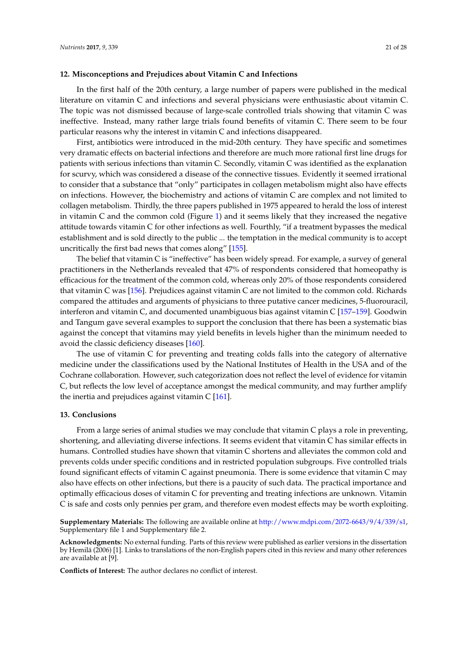In the first half of the 20th century, a large number of papers were published in the medical literature on vitamin C and infections and several physicians were enthusiastic about vitamin C. The topic was not dismissed because of large-scale controlled trials showing that vitamin C was ineffective. Instead, many rather large trials found benefits of vitamin C. There seem to be four particular reasons why the interest in vitamin C and infections disappeared.

First, antibiotics were introduced in the mid-20th century. They have specific and sometimes very dramatic effects on bacterial infections and therefore are much more rational first line drugs for patients with serious infections than vitamin C. Secondly, vitamin C was identified as the explanation for scurvy, which was considered a disease of the connective tissues. Evidently it seemed irrational to consider that a substance that "only" participates in collagen metabolism might also have effects on infections. However, the biochemistry and actions of vitamin C are complex and not limited to collagen metabolism. Thirdly, the three papers published in 1975 appeared to herald the loss of interest in vitamin C and the common cold (Figure [1\)](#page-7-0) and it seems likely that they increased the negative attitude towards vitamin C for other infections as well. Fourthly, "if a treatment bypasses the medical establishment and is sold directly to the public ... the temptation in the medical community is to accept uncritically the first bad news that comes along" [\[155\]](#page-26-18).

The belief that vitamin C is "ineffective" has been widely spread. For example, a survey of general practitioners in the Netherlands revealed that 47% of respondents considered that homeopathy is efficacious for the treatment of the common cold, whereas only 20% of those respondents considered that vitamin C was [\[156\]](#page-26-19). Prejudices against vitamin C are not limited to the common cold. Richards compared the attitudes and arguments of physicians to three putative cancer medicines, 5-fluorouracil, interferon and vitamin C, and documented unambiguous bias against vitamin C [\[157–](#page-27-0)[159\]](#page-27-1). Goodwin and Tangum gave several examples to support the conclusion that there has been a systematic bias against the concept that vitamins may yield benefits in levels higher than the minimum needed to avoid the classic deficiency diseases [\[160\]](#page-27-2).

The use of vitamin C for preventing and treating colds falls into the category of alternative medicine under the classifications used by the National Institutes of Health in the USA and of the Cochrane collaboration. However, such categorization does not reflect the level of evidence for vitamin C, but reflects the low level of acceptance amongst the medical community, and may further amplify the inertia and prejudices against vitamin  $C$  [\[161\]](#page-27-3).

# **13. Conclusions**

From a large series of animal studies we may conclude that vitamin C plays a role in preventing, shortening, and alleviating diverse infections. It seems evident that vitamin C has similar effects in humans. Controlled studies have shown that vitamin C shortens and alleviates the common cold and prevents colds under specific conditions and in restricted population subgroups. Five controlled trials found significant effects of vitamin C against pneumonia. There is some evidence that vitamin C may also have effects on other infections, but there is a paucity of such data. The practical importance and optimally efficacious doses of vitamin C for preventing and treating infections are unknown. Vitamin C is safe and costs only pennies per gram, and therefore even modest effects may be worth exploiting.

**Supplementary Materials:** The following are available online at [http://www.mdpi.com/2072-6643/9/4/339/s1,](http://www.mdpi.com/2072-6643/9/4/339/s1) Supplementary file 1 and Supplementary file 2.

**Acknowledgments:** No external funding. Parts of this review were published as earlier versions in the dissertation by Hemilä (2006) [1]. Links to translations of the non-English papers cited in this review and many other references are available at [9].

**Conflicts of Interest:** The author declares no conflict of interest.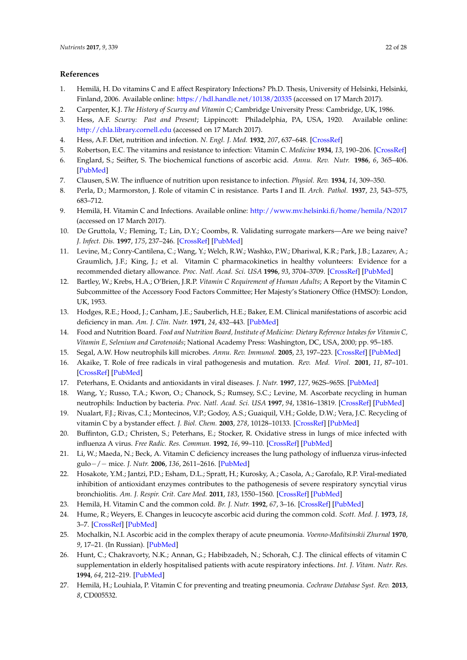# **References**

- <span id="page-21-0"></span>1. Hemilä, H. Do vitamins C and E affect Respiratory Infections? Ph.D. Thesis, University of Helsinki, Helsinki, Finland, 2006. Available online: <https://hdl.handle.net/10138/20335> (accessed on 17 March 2017).
- <span id="page-21-1"></span>2. Carpenter, K.J. *The History of Scurvy and Vitamin C*; Cambridge University Press: Cambridge, UK, 1986.
- <span id="page-21-2"></span>3. Hess, A.F. *Scurvy: Past and Present*; Lippincott: Philadelphia, PA, USA, 1920. Available online: <http://chla.library.cornell.edu> (accessed on 17 March 2017).
- <span id="page-21-3"></span>4. Hess, A.F. Diet, nutrition and infection. *N. Engl. J. Med.* **1932**, *207*, 637–648. [\[CrossRef\]](http://dx.doi.org/10.1056/NEJM193210132071501)
- <span id="page-21-4"></span>5. Robertson, E.C. The vitamins and resistance to infection: Vitamin C. *Medicine* **1934**, *13*, 190–206. [\[CrossRef\]](http://dx.doi.org/10.1097/00005792-193405000-00001)
- <span id="page-21-5"></span>6. Englard, S.; Seifter, S. The biochemical functions of ascorbic acid. *Annu. Rev. Nutr.* **1986**, *6*, 365–406. [\[PubMed\]](http://www.ncbi.nlm.nih.gov/pubmed/3015170)
- <span id="page-21-6"></span>7. Clausen, S.W. The influence of nutrition upon resistance to infection. *Physiol. Rev.* **1934**, *14*, 309–350.
- <span id="page-21-7"></span>8. Perla, D.; Marmorston, J. Role of vitamin C in resistance. Parts I and II. *Arch. Pathol.* **1937**, *23*, 543–575, 683–712.
- <span id="page-21-8"></span>9. Hemilä, H. Vitamin C and Infections. Available online: <http://www.mv.helsinki.fi/home/hemila/N2017> (accessed on 17 March 2017).
- <span id="page-21-9"></span>10. De Gruttola, V.; Fleming, T.; Lin, D.Y.; Coombs, R. Validating surrogate markers—Are we being naive? *J. Infect. Dis.* **1997**, *175*, 237–246. [\[CrossRef\]](http://dx.doi.org/10.1093/infdis/175.2.237) [\[PubMed\]](http://www.ncbi.nlm.nih.gov/pubmed/9203643)
- <span id="page-21-10"></span>11. Levine, M.; Conry-Cantilena, C.; Wang, Y.; Welch, R.W.; Washko, P.W.; Dhariwal, K.R.; Park, J.B.; Lazarev, A.; Graumlich, J.F.; King, J.; et al. Vitamin C pharmacokinetics in healthy volunteers: Evidence for a recommended dietary allowance. *Proc. Natl. Acad. Sci. USA* **1996**, *93*, 3704–3709. [\[CrossRef\]](http://dx.doi.org/10.1073/pnas.93.8.3704) [\[PubMed\]](http://www.ncbi.nlm.nih.gov/pubmed/8623000)
- <span id="page-21-11"></span>12. Bartley, W.; Krebs, H.A.; O'Brien, J.R.P. *Vitamin C Requirement of Human Adults*; A Report by the Vitamin C Subcommittee of the Accessory Food Factors Committee; Her Majesty's Stationery Office (HMSO): London, UK, 1953.
- 13. Hodges, R.E.; Hood, J.; Canham, J.E.; Sauberlich, H.E.; Baker, E.M. Clinical manifestations of ascorbic acid deficiency in man. *Am. J. Clin. Nutr.* **1971**, *24*, 432–443. [\[PubMed\]](http://www.ncbi.nlm.nih.gov/pubmed/5090631)
- <span id="page-21-12"></span>14. Food and Nutrition Board. *Food and Nutrition Board, Institute of Medicine: Dietary Reference Intakes for Vitamin C, Vitamin E, Selenium and Carotenoids*; National Academy Press: Washington, DC, USA, 2000; pp. 95–185.
- <span id="page-21-13"></span>15. Segal, A.W. How neutrophils kill microbes. *Annu. Rev. Immunol.* **2005**, *23*, 197–223. [\[CrossRef\]](http://dx.doi.org/10.1146/annurev.immunol.23.021704.115653) [\[PubMed\]](http://www.ncbi.nlm.nih.gov/pubmed/15771570)
- <span id="page-21-14"></span>16. Akaike, T. Role of free radicals in viral pathogenesis and mutation. *Rev. Med. Virol.* **2001**, *11*, 87–101. [\[CrossRef\]](http://dx.doi.org/10.1002/rmv.303) [\[PubMed\]](http://www.ncbi.nlm.nih.gov/pubmed/11262528)
- <span id="page-21-15"></span>17. Peterhans, E. Oxidants and antioxidants in viral diseases. *J. Nutr.* **1997**, *127*, 962S–965S. [\[PubMed\]](http://www.ncbi.nlm.nih.gov/pubmed/9164274)
- <span id="page-21-16"></span>18. Wang, Y.; Russo, T.A.; Kwon, O.; Chanock, S.; Rumsey, S.C.; Levine, M. Ascorbate recycling in human neutrophils: Induction by bacteria. *Proc. Natl. Acad. Sci. USA* **1997**, *94*, 13816–13819. [\[CrossRef\]](http://dx.doi.org/10.1073/pnas.94.25.13816) [\[PubMed\]](http://www.ncbi.nlm.nih.gov/pubmed/9391110)
- <span id="page-21-17"></span>19. Nualart, F.J.; Rivas, C.I.; Montecinos, V.P.; Godoy, A.S.; Guaiquil, V.H.; Golde, D.W.; Vera, J.C. Recycling of vitamin C by a bystander effect. *J. Biol. Chem.* **2003**, *278*, 10128–10133. [\[CrossRef\]](http://dx.doi.org/10.1074/jbc.M210686200) [\[PubMed\]](http://www.ncbi.nlm.nih.gov/pubmed/12435736)
- <span id="page-21-18"></span>20. Buffinton, G.D.; Christen, S.; Peterhans, E.; Stocker, R. Oxidative stress in lungs of mice infected with influenza A virus. *Free Radic. Res. Commun.* **1992**, *16*, 99–110. [\[CrossRef\]](http://dx.doi.org/10.3109/10715769209049163) [\[PubMed\]](http://www.ncbi.nlm.nih.gov/pubmed/1321077)
- <span id="page-21-19"></span>21. Li, W.; Maeda, N.; Beck, A. Vitamin C deficiency increases the lung pathology of influenza virus-infected gulo−/− mice. *J. Nutr.* **2006**, *136*, 2611–2616. [\[PubMed\]](http://www.ncbi.nlm.nih.gov/pubmed/16988135)
- <span id="page-21-20"></span>22. Hosakote, Y.M.; Jantzi, P.D.; Esham, D.L.; Spratt, H.; Kurosky, A.; Casola, A.; Garofalo, R.P. Viral-mediated inhibition of antioxidant enzymes contributes to the pathogenesis of severe respiratory syncytial virus bronchiolitis. *Am. J. Respir. Crit. Care Med.* **2011**, *183*, 1550–1560. [\[CrossRef\]](http://dx.doi.org/10.1164/rccm.201010-1755OC) [\[PubMed\]](http://www.ncbi.nlm.nih.gov/pubmed/21471094)
- <span id="page-21-21"></span>23. Hemilä, H. Vitamin C and the common cold. *Br. J. Nutr.* **1992**, *67*, 3–16. [\[CrossRef\]](http://dx.doi.org/10.1079/BJN19920004) [\[PubMed\]](http://www.ncbi.nlm.nih.gov/pubmed/1547201)
- <span id="page-21-22"></span>24. Hume, R.; Weyers, E. Changes in leucocyte ascorbic acid during the common cold. *Scott. Med. J.* **1973**, *18*, 3–7. [\[CrossRef\]](http://dx.doi.org/10.1177/003693307301800102) [\[PubMed\]](http://www.ncbi.nlm.nih.gov/pubmed/4717661)
- <span id="page-21-23"></span>25. Mochalkin, N.I. Ascorbic acid in the complex therapy of acute pneumonia. *Voenno-Meditsinskii Zhurnal* **1970**, *9*, 17–21. (In Russian). [\[PubMed\]](http://www.ncbi.nlm.nih.gov/pubmed/5515787)
- <span id="page-21-25"></span>26. Hunt, C.; Chakravorty, N.K.; Annan, G.; Habibzadeh, N.; Schorah, C.J. The clinical effects of vitamin C supplementation in elderly hospitalised patients with acute respiratory infections. *Int. J. Vitam. Nutr. Res.* **1994**, *64*, 212–219. [\[PubMed\]](http://www.ncbi.nlm.nih.gov/pubmed/7814237)
- <span id="page-21-24"></span>27. Hemilä, H.; Louhiala, P. Vitamin C for preventing and treating pneumonia. *Cochrane Database Syst. Rev.* **2013**, *8*, CD005532.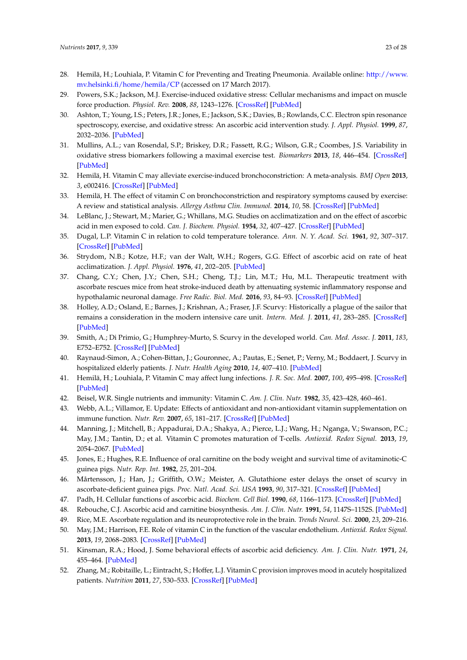- <span id="page-22-0"></span>28. Hemilä, H.; Louhiala, P. Vitamin C for Preventing and Treating Pneumonia. Available online: [http://www.](http://www.mv.helsinki.fi/home/hemila/CP) [mv.helsinki.fi/home/hemila/CP](http://www.mv.helsinki.fi/home/hemila/CP) (accessed on 17 March 2017).
- <span id="page-22-1"></span>29. Powers, S.K.; Jackson, M.J. Exercise-induced oxidative stress: Cellular mechanisms and impact on muscle force production. *Physiol. Rev.* **2008**, *88*, 1243–1276. [\[CrossRef\]](http://dx.doi.org/10.1152/physrev.00031.2007) [\[PubMed\]](http://www.ncbi.nlm.nih.gov/pubmed/18923182)
- <span id="page-22-2"></span>30. Ashton, T.; Young, I.S.; Peters, J.R.; Jones, E.; Jackson, S.K.; Davies, B.; Rowlands, C.C. Electron spin resonance spectroscopy, exercise, and oxidative stress: An ascorbic acid intervention study. *J. Appl. Physiol.* **1999**, *87*, 2032–2036. [\[PubMed\]](http://www.ncbi.nlm.nih.gov/pubmed/10601146)
- <span id="page-22-3"></span>31. Mullins, A.L.; van Rosendal, S.P.; Briskey, D.R.; Fassett, R.G.; Wilson, G.R.; Coombes, J.S. Variability in oxidative stress biomarkers following a maximal exercise test. *Biomarkers* **2013**, *18*, 446–454. [\[CrossRef\]](http://dx.doi.org/10.3109/1354750X.2013.810668) [\[PubMed\]](http://www.ncbi.nlm.nih.gov/pubmed/23862764)
- <span id="page-22-4"></span>32. Hemilä, H. Vitamin C may alleviate exercise-induced bronchoconstriction: A meta-analysis. *BMJ Open* **2013**, *3*, e002416. [\[CrossRef\]](http://dx.doi.org/10.1136/bmjopen-2012-002416) [\[PubMed\]](http://www.ncbi.nlm.nih.gov/pubmed/23794586)
- <span id="page-22-5"></span>33. Hemilä, H. The effect of vitamin C on bronchoconstriction and respiratory symptoms caused by exercise: A review and statistical analysis. *Allergy Asthma Clin. Immunol.* **2014**, *10*, 58. [\[CrossRef\]](http://dx.doi.org/10.1186/1710-1492-10-58) [\[PubMed\]](http://www.ncbi.nlm.nih.gov/pubmed/25788952)
- <span id="page-22-6"></span>34. LeBlanc, J.; Stewart, M.; Marier, G.; Whillans, M.G. Studies on acclimatization and on the effect of ascorbic acid in men exposed to cold. *Can. J. Biochem. Physiol.* **1954**, *32*, 407–427. [\[CrossRef\]](http://dx.doi.org/10.1139/o54-044) [\[PubMed\]](http://www.ncbi.nlm.nih.gov/pubmed/13160845)
- 35. Dugal, L.P. Vitamin C in relation to cold temperature tolerance. *Ann. N. Y. Acad. Sci.* **1961**, *92*, 307–317. [\[CrossRef\]](http://dx.doi.org/10.1111/j.1749-6632.1961.tb46131.x) [\[PubMed\]](http://www.ncbi.nlm.nih.gov/pubmed/13724814)
- 36. Strydom, N.B.; Kotze, H.F.; van der Walt, W.H.; Rogers, G.G. Effect of ascorbic acid on rate of heat acclimatization. *J. Appl. Physiol.* **1976**, *41*, 202–205. [\[PubMed\]](http://www.ncbi.nlm.nih.gov/pubmed/956103)
- <span id="page-22-7"></span>37. Chang, C.Y.; Chen, J.Y.; Chen, S.H.; Cheng, T.J.; Lin, M.T.; Hu, M.L. Therapeutic treatment with ascorbate rescues mice from heat stroke-induced death by attenuating systemic inflammatory response and hypothalamic neuronal damage. *Free Radic. Biol. Med.* **2016**, *93*, 84–93. [\[CrossRef\]](http://dx.doi.org/10.1016/j.freeradbiomed.2015.12.017) [\[PubMed\]](http://www.ncbi.nlm.nih.gov/pubmed/26703968)
- <span id="page-22-8"></span>38. Holley, A.D.; Osland, E.; Barnes, J.; Krishnan, A.; Fraser, J.F. Scurvy: Historically a plague of the sailor that remains a consideration in the modern intensive care unit. *Intern. Med. J.* **2011**, *41*, 283–285. [\[CrossRef\]](http://dx.doi.org/10.1111/j.1445-5994.2010.02413.x) [\[PubMed\]](http://www.ncbi.nlm.nih.gov/pubmed/21426466)
- <span id="page-22-9"></span>39. Smith, A.; Di Primio, G.; Humphrey-Murto, S. Scurvy in the developed world. *Can. Med. Assoc. J.* **2011**, *183*, E752–E752. [\[CrossRef\]](http://dx.doi.org/10.1503/cmaj.091938) [\[PubMed\]](http://www.ncbi.nlm.nih.gov/pubmed/21555388)
- <span id="page-22-10"></span>40. Raynaud-Simon, A.; Cohen-Bittan, J.; Gouronnec, A.; Pautas, E.; Senet, P.; Verny, M.; Boddaert, J. Scurvy in hospitalized elderly patients. *J. Nutr. Health Aging* **2010**, *14*, 407–410. [\[PubMed\]](http://www.ncbi.nlm.nih.gov/pubmed/20617280)
- <span id="page-22-11"></span>41. Hemilä, H.; Louhiala, P. Vitamin C may affect lung infections. *J. R. Soc. Med.* **2007**, *100*, 495–498. [\[CrossRef\]](http://dx.doi.org/10.1258/jrsm.100.11.495) [\[PubMed\]](http://www.ncbi.nlm.nih.gov/pubmed/18048704)
- <span id="page-22-12"></span>42. Beisel, W.R. Single nutrients and immunity: Vitamin C. *Am. J. Clin. Nutr.* **1982**, *35*, 423–428, 460–461.
- 43. Webb, A.L.; Villamor, E. Update: Effects of antioxidant and non-antioxidant vitamin supplementation on immune function. *Nutr. Rev.* **2007**, *65*, 181–217. [\[CrossRef\]](http://dx.doi.org/10.1111/j.1753-4887.2007.tb00298.x) [\[PubMed\]](http://www.ncbi.nlm.nih.gov/pubmed/17566547)
- <span id="page-22-13"></span>44. Manning, J.; Mitchell, B.; Appadurai, D.A.; Shakya, A.; Pierce, L.J.; Wang, H.; Nganga, V.; Swanson, P.C.; May, J.M.; Tantin, D.; et al. Vitamin C promotes maturation of T-cells. *Antioxid. Redox Signal.* **2013**, *19*, 2054–2067. [\[PubMed\]](http://www.ncbi.nlm.nih.gov/pubmed/23249337)
- <span id="page-22-14"></span>45. Jones, E.; Hughes, R.E. Influence of oral carnitine on the body weight and survival time of avitaminotic-C guinea pigs. *Nutr. Rep. Int.* **1982**, *25*, 201–204.
- <span id="page-22-15"></span>46. Mårtensson, J.; Han, J.; Griffith, O.W.; Meister, A. Glutathione ester delays the onset of scurvy in ascorbate-deficient guinea pigs. *Proc. Natl. Acad. Sci. USA* **1993**, *90*, 317–321. [\[CrossRef\]](http://dx.doi.org/10.1073/pnas.90.1.317) [\[PubMed\]](http://www.ncbi.nlm.nih.gov/pubmed/8419936)
- <span id="page-22-16"></span>47. Padh, H. Cellular functions of ascorbic acid. *Biochem. Cell Biol.* **1990**, *68*, 1166–1173. [\[CrossRef\]](http://dx.doi.org/10.1139/o90-173) [\[PubMed\]](http://www.ncbi.nlm.nih.gov/pubmed/2268411)
- 48. Rebouche, C.J. Ascorbic acid and carnitine biosynthesis. *Am. J. Clin. Nutr.* **1991**, *54*, 1147S–1152S. [\[PubMed\]](http://www.ncbi.nlm.nih.gov/pubmed/1962562)
- 49. Rice, M.E. Ascorbate regulation and its neuroprotective role in the brain. *Trends Neurol. Sci.* **2000**, *23*, 209–216.
- <span id="page-22-17"></span>50. May, J.M.; Harrison, F.E. Role of vitamin C in the function of the vascular endothelium. *Antioxid. Redox Signal.* **2013**, *19*, 2068–2083. [\[CrossRef\]](http://dx.doi.org/10.1089/ars.2013.5205) [\[PubMed\]](http://www.ncbi.nlm.nih.gov/pubmed/23581713)
- <span id="page-22-18"></span>51. Kinsman, R.A.; Hood, J. Some behavioral effects of ascorbic acid deficiency. *Am. J. Clin. Nutr.* **1971**, *24*, 455–464. [\[PubMed\]](http://www.ncbi.nlm.nih.gov/pubmed/4397430)
- <span id="page-22-19"></span>52. Zhang, M.; Robitaille, L.; Eintracht, S.; Hoffer, L.J. Vitamin C provision improves mood in acutely hospitalized patients. *Nutrition* **2011**, *27*, 530–533. [\[CrossRef\]](http://dx.doi.org/10.1016/j.nut.2010.05.016) [\[PubMed\]](http://www.ncbi.nlm.nih.gov/pubmed/20688474)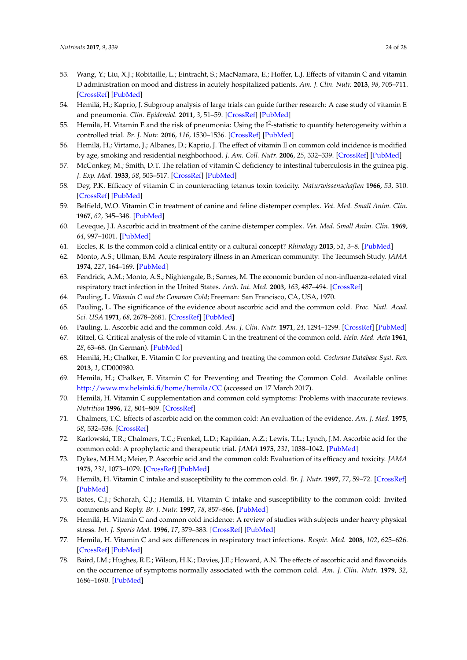- <span id="page-23-0"></span>53. Wang, Y.; Liu, X.J.; Robitaille, L.; Eintracht, S.; MacNamara, E.; Hoffer, L.J. Effects of vitamin C and vitamin D administration on mood and distress in acutely hospitalized patients. *Am. J. Clin. Nutr.* **2013**, *98*, 705–711. [\[CrossRef\]](http://dx.doi.org/10.3945/ajcn.112.056366) [\[PubMed\]](http://www.ncbi.nlm.nih.gov/pubmed/23885048)
- <span id="page-23-1"></span>54. Hemilä, H.; Kaprio, J. Subgroup analysis of large trials can guide further research: A case study of vitamin E and pneumonia. *Clin. Epidemiol.* **2011**, *3*, 51–59. [\[CrossRef\]](http://dx.doi.org/10.2147/CLEP.S16114) [\[PubMed\]](http://www.ncbi.nlm.nih.gov/pubmed/21386974)
- <span id="page-23-2"></span>55. Hemilä, H. Vitamin E and the risk of pneumonia: Using the I<sup>2</sup>-statistic to quantify heterogeneity within a controlled trial. *Br. J. Nutr.* **2016**, *116*, 1530–1536. [\[CrossRef\]](http://dx.doi.org/10.1017/S0007114516003408) [\[PubMed\]](http://www.ncbi.nlm.nih.gov/pubmed/27780487)
- <span id="page-23-3"></span>56. Hemilä, H.; Virtamo, J.; Albanes, D.; Kaprio, J. The effect of vitamin E on common cold incidence is modified by age, smoking and residential neighborhood. *J. Am. Coll. Nutr.* **2006**, *25*, 332–339. [\[CrossRef\]](http://dx.doi.org/10.1080/07315724.2006.10719543) [\[PubMed\]](http://www.ncbi.nlm.nih.gov/pubmed/16943455)
- <span id="page-23-4"></span>57. McConkey, M.; Smith, D.T. The relation of vitamin C deficiency to intestinal tuberculosis in the guinea pig. *J. Exp. Med.* **1933**, *58*, 503–517. [\[CrossRef\]](http://dx.doi.org/10.1084/jem.58.4.503) [\[PubMed\]](http://www.ncbi.nlm.nih.gov/pubmed/19870211)
- <span id="page-23-5"></span>58. Dey, P.K. Efficacy of vitamin C in counteracting tetanus toxin toxicity. *Naturwissenschaften* **1966**, *53*, 310. [\[CrossRef\]](http://dx.doi.org/10.1007/BF00712228) [\[PubMed\]](http://www.ncbi.nlm.nih.gov/pubmed/5986216)
- <span id="page-23-6"></span>59. Belfield, W.O. Vitamin C in treatment of canine and feline distemper complex. *Vet. Med. Small Anim. Clin.* **1967**, *62*, 345–348. [\[PubMed\]](http://www.ncbi.nlm.nih.gov/pubmed/5182695)
- <span id="page-23-7"></span>60. Leveque, J.I. Ascorbic acid in treatment of the canine distemper complex. *Vet. Med. Small Anim. Clin.* **1969**, *64*, 997–1001. [\[PubMed\]](http://www.ncbi.nlm.nih.gov/pubmed/5201010)
- <span id="page-23-8"></span>61. Eccles, R. Is the common cold a clinical entity or a cultural concept? *Rhinology* **2013**, *51*, 3–8. [\[PubMed\]](http://www.ncbi.nlm.nih.gov/pubmed/23441305)
- <span id="page-23-9"></span>62. Monto, A.S.; Ullman, B.M. Acute respiratory illness in an American community: The Tecumseh Study. *JAMA* **1974**, *227*, 164–169. [\[PubMed\]](http://www.ncbi.nlm.nih.gov/pubmed/4357298)
- <span id="page-23-10"></span>63. Fendrick, A.M.; Monto, A.S.; Nightengale, B.; Sarnes, M. The economic burden of non-influenza-related viral respiratory tract infection in the United States. *Arch. Int. Med.* **2003**, *163*, 487–494. [\[CrossRef\]](http://dx.doi.org/10.1001/archinte.163.4.487)
- <span id="page-23-11"></span>64. Pauling, L. *Vitamin C and the Common Cold*; Freeman: San Francisco, CA, USA, 1970.
- <span id="page-23-12"></span>65. Pauling, L. The significance of the evidence about ascorbic acid and the common cold. *Proc. Natl. Acad. Sci. USA* **1971**, *68*, 2678–2681. [\[CrossRef\]](http://dx.doi.org/10.1073/pnas.68.11.2678) [\[PubMed\]](http://www.ncbi.nlm.nih.gov/pubmed/4941984)
- <span id="page-23-13"></span>66. Pauling, L. Ascorbic acid and the common cold. *Am. J. Clin. Nutr.* **1971**, *24*, 1294–1299. [\[CrossRef\]](http://dx.doi.org/10.1177/003693307301800101) [\[PubMed\]](http://www.ncbi.nlm.nih.gov/pubmed/4577802)
- <span id="page-23-14"></span>67. Ritzel, G. Critical analysis of the role of vitamin C in the treatment of the common cold. *Helv. Med. Acta* **1961**, *28*, 63–68. (In German). [\[PubMed\]](http://www.ncbi.nlm.nih.gov/pubmed/13741912)
- <span id="page-23-15"></span>68. Hemilä, H.; Chalker, E. Vitamin C for preventing and treating the common cold. *Cochrane Database Syst. Rev.* **2013**, *1*, CD000980.
- <span id="page-23-16"></span>69. Hemilä, H.; Chalker, E. Vitamin C for Preventing and Treating the Common Cold. Available online: <http://www.mv.helsinki.fi/home/hemila/CC> (accessed on 17 March 2017).
- <span id="page-23-17"></span>70. Hemilä, H. Vitamin C supplementation and common cold symptoms: Problems with inaccurate reviews. *Nutrition* **1996**, *12*, 804–809. [\[CrossRef\]](http://dx.doi.org/10.1016/S0899-9007(96)00223-7)
- <span id="page-23-18"></span>71. Chalmers, T.C. Effects of ascorbic acid on the common cold: An evaluation of the evidence. *Am. J. Med.* **1975**, *58*, 532–536. [\[CrossRef\]](http://dx.doi.org/10.1016/0002-9343(75)90127-8)
- <span id="page-23-25"></span>72. Karlowski, T.R.; Chalmers, T.C.; Frenkel, L.D.; Kapikian, A.Z.; Lewis, T.L.; Lynch, J.M. Ascorbic acid for the common cold: A prophylactic and therapeutic trial. *JAMA* **1975**, *231*, 1038–1042. [\[PubMed\]](http://www.ncbi.nlm.nih.gov/pubmed/163386)
- <span id="page-23-19"></span>73. Dykes, M.H.M.; Meier, P. Ascorbic acid and the common cold: Evaluation of its efficacy and toxicity. *JAMA* **1975**, *231*, 1073–1079. [\[CrossRef\]](http://dx.doi.org/10.1001/jama.1975.03240220051025) [\[PubMed\]](http://www.ncbi.nlm.nih.gov/pubmed/1089817)
- <span id="page-23-20"></span>74. Hemilä, H. Vitamin C intake and susceptibility to the common cold. *Br. J. Nutr.* **1997**, *77*, 59–72. [\[CrossRef\]](http://dx.doi.org/10.1017/S0007114500002889) [\[PubMed\]](http://www.ncbi.nlm.nih.gov/pubmed/9059230)
- <span id="page-23-21"></span>75. Bates, C.J.; Schorah, C.J.; Hemilä, H. Vitamin C intake and susceptibility to the common cold: Invited comments and Reply. *Br. J. Nutr.* **1997**, *78*, 857–866. [\[PubMed\]](http://www.ncbi.nlm.nih.gov/pubmed/9389907)
- <span id="page-23-22"></span>76. Hemilä, H. Vitamin C and common cold incidence: A review of studies with subjects under heavy physical stress. *Int. J. Sports Med.* **1996**, *17*, 379–383. [\[CrossRef\]](http://dx.doi.org/10.1055/s-2007-972864) [\[PubMed\]](http://www.ncbi.nlm.nih.gov/pubmed/8858411)
- <span id="page-23-23"></span>77. Hemilä, H. Vitamin C and sex differences in respiratory tract infections. *Respir. Med.* **2008**, *102*, 625–626. [\[CrossRef\]](http://dx.doi.org/10.1016/j.rmed.2007.12.011) [\[PubMed\]](http://www.ncbi.nlm.nih.gov/pubmed/18222682)
- <span id="page-23-24"></span>78. Baird, I.M.; Hughes, R.E.; Wilson, H.K.; Davies, J.E.; Howard, A.N. The effects of ascorbic acid and flavonoids on the occurrence of symptoms normally associated with the common cold. *Am. J. Clin. Nutr.* **1979**, *32*, 1686–1690. [\[PubMed\]](http://www.ncbi.nlm.nih.gov/pubmed/463806)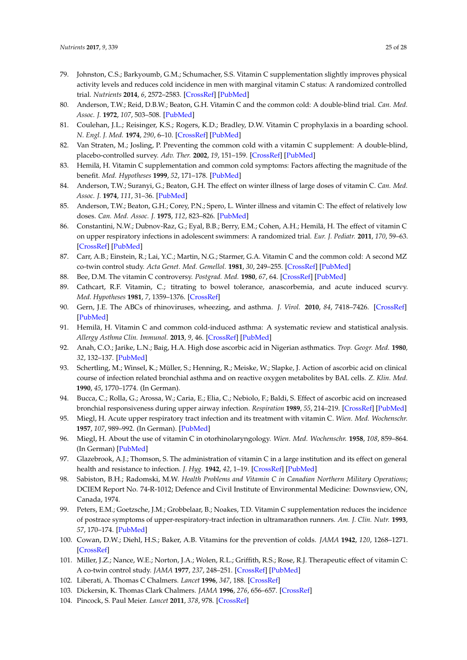- <span id="page-24-0"></span>79. Johnston, C.S.; Barkyoumb, G.M.; Schumacher, S.S. Vitamin C supplementation slightly improves physical activity levels and reduces cold incidence in men with marginal vitamin C status: A randomized controlled trial. *Nutrients* **2014**, *6*, 2572–2583. [\[CrossRef\]](http://dx.doi.org/10.3390/nu6072572) [\[PubMed\]](http://www.ncbi.nlm.nih.gov/pubmed/25010554)
- <span id="page-24-1"></span>80. Anderson, T.W.; Reid, D.B.W.; Beaton, G.H. Vitamin C and the common cold: A double-blind trial. *Can. Med. Assoc. J.* **1972**, *107*, 503–508. [\[PubMed\]](http://www.ncbi.nlm.nih.gov/pubmed/5057006)
- <span id="page-24-2"></span>81. Coulehan, J.L.; Reisinger, K.S.; Rogers, K.D.; Bradley, D.W. Vitamin C prophylaxis in a boarding school. *N. Engl. J. Med.* **1974**, *290*, 6–10. [\[CrossRef\]](http://dx.doi.org/10.1056/NEJM197401032900102) [\[PubMed\]](http://www.ncbi.nlm.nih.gov/pubmed/4586102)
- <span id="page-24-3"></span>82. Van Straten, M.; Josling, P. Preventing the common cold with a vitamin C supplement: A double-blind, placebo-controlled survey. *Adv. Ther.* **2002**, *19*, 151–159. [\[CrossRef\]](http://dx.doi.org/10.1007/BF02850271) [\[PubMed\]](http://www.ncbi.nlm.nih.gov/pubmed/12201356)
- <span id="page-24-4"></span>83. Hemilä, H. Vitamin C supplementation and common cold symptoms: Factors affecting the magnitude of the benefit. *Med. Hypotheses* **1999**, *52*, 171–178. [\[PubMed\]](http://www.ncbi.nlm.nih.gov/pubmed/10340298)
- <span id="page-24-5"></span>84. Anderson, T.W.; Suranyi, G.; Beaton, G.H. The effect on winter illness of large doses of vitamin C. *Can. Med. Assoc. J.* **1974**, *111*, 31–36. [\[PubMed\]](http://www.ncbi.nlm.nih.gov/pubmed/4601508)
- <span id="page-24-6"></span>85. Anderson, T.W.; Beaton, G.H.; Corey, P.N.; Spero, L. Winter illness and vitamin C: The effect of relatively low doses. *Can. Med. Assoc. J.* **1975**, *112*, 823–826. [\[PubMed\]](http://www.ncbi.nlm.nih.gov/pubmed/1091343)
- <span id="page-24-7"></span>86. Constantini, N.W.; Dubnov-Raz, G.; Eyal, B.B.; Berry, E.M.; Cohen, A.H.; Hemilä, H. The effect of vitamin C on upper respiratory infections in adolescent swimmers: A randomized trial. *Eur. J. Pediatr.* **2011**, *170*, 59–63. [\[CrossRef\]](http://dx.doi.org/10.1007/s00431-010-1270-z) [\[PubMed\]](http://www.ncbi.nlm.nih.gov/pubmed/20689965)
- <span id="page-24-8"></span>87. Carr, A.B.; Einstein, R.; Lai, Y.C.; Martin, N.G.; Starmer, G.A. Vitamin C and the common cold: A second MZ co-twin control study. *Acta Genet. Med. Gemellol.* **1981**, *30*, 249–255. [\[CrossRef\]](http://dx.doi.org/10.1017/S0001566000006450) [\[PubMed\]](http://www.ncbi.nlm.nih.gov/pubmed/7048833)
- <span id="page-24-10"></span><span id="page-24-9"></span>88. Bee, D.M. The vitamin C controversy. *Postgrad. Med.* **1980**, *67*, 64. [\[CrossRef\]](http://dx.doi.org/10.1080/00325481.1980.11715362) [\[PubMed\]](http://www.ncbi.nlm.nih.gov/pubmed/7352128)
- 89. Cathcart, R.F. Vitamin, C.; titrating to bowel tolerance, anascorbemia, and acute induced scurvy. *Med. Hypotheses* **1981**, *7*, 1359–1376. [\[CrossRef\]](http://dx.doi.org/10.1016/0306-9877(81)90126-2)
- <span id="page-24-11"></span>90. Gern, J.E. The ABCs of rhinoviruses, wheezing, and asthma. *J. Virol.* **2010**, *84*, 7418–7426. [\[CrossRef\]](http://dx.doi.org/10.1128/JVI.02290-09) [\[PubMed\]](http://www.ncbi.nlm.nih.gov/pubmed/20375160)
- <span id="page-24-12"></span>91. Hemilä, H. Vitamin C and common cold-induced asthma: A systematic review and statistical analysis. *Allergy Asthma Clin. Immunol.* **2013**, *9*, 46. [\[CrossRef\]](http://dx.doi.org/10.1186/1710-1492-9-46) [\[PubMed\]](http://www.ncbi.nlm.nih.gov/pubmed/24279478)
- <span id="page-24-13"></span>92. Anah, C.O.; Jarike, L.N.; Baig, H.A. High dose ascorbic acid in Nigerian asthmatics. *Trop. Geogr. Med.* **1980**, *32*, 132–137. [\[PubMed\]](http://www.ncbi.nlm.nih.gov/pubmed/7423602)
- <span id="page-24-14"></span>93. Schertling, M.; Winsel, K.; Müller, S.; Henning, R.; Meiske, W.; Slapke, J. Action of ascorbic acid on clinical course of infection related bronchial asthma and on reactive oxygen metabolites by BAL cells. *Z. Klin. Med.* **1990**, *45*, 1770–1774. (In German).
- <span id="page-24-15"></span>94. Bucca, C.; Rolla, G.; Arossa, W.; Caria, E.; Elia, C.; Nebiolo, F.; Baldi, S. Effect of ascorbic acid on increased bronchial responsiveness during upper airway infection. *Respiration* **1989**, *55*, 214–219. [\[CrossRef\]](http://dx.doi.org/10.1159/000195737) [\[PubMed\]](http://www.ncbi.nlm.nih.gov/pubmed/2595105)
- <span id="page-24-16"></span>95. Miegl, H. Acute upper respiratory tract infection and its treatment with vitamin C. *Wien. Med. Wochenschr.* **1957**, *107*, 989–992. (In German). [\[PubMed\]](http://www.ncbi.nlm.nih.gov/pubmed/13531063)
- <span id="page-24-17"></span>96. Miegl, H. About the use of vitamin C in otorhinolaryngology. *Wien. Med. Wochenschr.* **1958**, *108*, 859–864. (In German) [\[PubMed\]](http://www.ncbi.nlm.nih.gov/pubmed/13593475)
- <span id="page-24-18"></span>97. Glazebrook, A.J.; Thomson, S. The administration of vitamin C in a large institution and its effect on general health and resistance to infection. *J. Hyg.* **1942**, *42*, 1–19. [\[CrossRef\]](http://dx.doi.org/10.1017/S0022172400012596) [\[PubMed\]](http://www.ncbi.nlm.nih.gov/pubmed/20475613)
- <span id="page-24-19"></span>98. Sabiston, B.H.; Radomski, M.W. *Health Problems and Vitamin C in Canadian Northern Military Operations*; DCIEM Report No. 74-R-1012; Defence and Civil Institute of Environmental Medicine: Downsview, ON, Canada, 1974.
- <span id="page-24-20"></span>99. Peters, E.M.; Goetzsche, J.M.; Grobbelaar, B.; Noakes, T.D. Vitamin C supplementation reduces the incidence of postrace symptoms of upper-respiratory-tract infection in ultramarathon runners. *Am. J. Clin. Nutr.* **1993**, *57*, 170–174. [\[PubMed\]](http://www.ncbi.nlm.nih.gov/pubmed/8185726)
- <span id="page-24-21"></span>100. Cowan, D.W.; Diehl, H.S.; Baker, A.B. Vitamins for the prevention of colds. *JAMA* **1942**, *120*, 1268–1271. [\[CrossRef\]](http://dx.doi.org/10.1001/jama.1942.02830510006002)
- <span id="page-24-22"></span>101. Miller, J.Z.; Nance, W.E.; Norton, J.A.; Wolen, R.L.; Griffith, R.S.; Rose, R.J. Therapeutic effect of vitamin C: A co-twin control study. *JAMA* **1977**, *237*, 248–251. [\[CrossRef\]](http://dx.doi.org/10.1001/jama.1977.03270300052006) [\[PubMed\]](http://www.ncbi.nlm.nih.gov/pubmed/318715)
- <span id="page-24-23"></span>102. Liberati, A. Thomas C Chalmers. *Lancet* **1996**, *347*, 188. [\[CrossRef\]](http://dx.doi.org/10.1016/S0140-6736(96)90369-4)
- <span id="page-24-25"></span><span id="page-24-24"></span>103. Dickersin, K. Thomas Clark Chalmers. *JAMA* **1996**, *276*, 656–657. [\[CrossRef\]](http://dx.doi.org/10.1001/jama.1996.03540080078041)
- 104. Pincock, S. Paul Meier. *Lancet* **2011**, *378*, 978. [\[CrossRef\]](http://dx.doi.org/10.1016/S0140-6736(11)61438-4)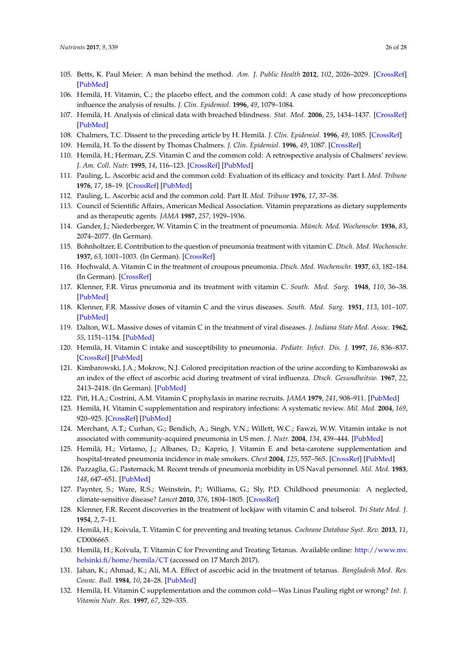- <span id="page-25-0"></span>105. Betts, K. Paul Meier: A man behind the method. *Am. J. Public Health* **2012**, *102*, 2026–2029. [\[CrossRef\]](http://dx.doi.org/10.2105/AJPH.2012.300778) [\[PubMed\]](http://www.ncbi.nlm.nih.gov/pubmed/22994181)
- <span id="page-25-1"></span>106. Hemilä, H. Vitamin, C.; the placebo effect, and the common cold: A case study of how preconceptions influence the analysis of results. *J. Clin. Epidemiol.* **1996**, *49*, 1079–1084.
- <span id="page-25-2"></span>107. Hemilä, H. Analysis of clinical data with breached blindness. *Stat. Med.* **2006**, *25*, 1434–1437. [\[CrossRef\]](http://dx.doi.org/10.1002/sim.2347) [\[PubMed\]](http://www.ncbi.nlm.nih.gov/pubmed/16572386)
- <span id="page-25-3"></span>108. Chalmers, T.C. Dissent to the preceding article by H. Hemilä. *J. Clin. Epidemiol.* **1996**, *49*, 1085. [\[CrossRef\]](http://dx.doi.org/10.1016/0895-4356(96)00190-4)
- <span id="page-25-4"></span>109. Hemilä, H. To the dissent by Thomas Chalmers. *J. Clin. Epidemiol.* **1996**, *49*, 1087. [\[CrossRef\]](http://dx.doi.org/10.1016/0895-4356(96)00191-6)
- <span id="page-25-5"></span>110. Hemilä, H.; Herman, Z.S. Vitamin C and the common cold: A retrospective analysis of Chalmers' review. *J. Am. Coll. Nutr.* **1995**, *14*, 116–123. [\[CrossRef\]](http://dx.doi.org/10.1080/07315724.1995.10718483) [\[PubMed\]](http://www.ncbi.nlm.nih.gov/pubmed/7790685)
- <span id="page-25-6"></span>111. Pauling, L. Ascorbic acid and the common cold: Evaluation of its efficacy and toxicity. Part I. *Med. Tribune* **1976**, *17*, 18–19. [\[CrossRef\]](http://dx.doi.org/10.1177/003693307301800101) [\[PubMed\]](http://www.ncbi.nlm.nih.gov/pubmed/4577802)
- <span id="page-25-7"></span>112. Pauling, L. Ascorbic acid and the common cold. Part II. *Med. Tribune* **1976**, *17*, 37–38.
- <span id="page-25-8"></span>113. Council of Scientific Affairs, American Medical Association. Vitamin preparations as dietary supplements and as therapeutic agents. *JAMA* **1987**, *257*, 1929–1936.
- <span id="page-25-9"></span>114. Gander, J.; Niederberger, W. Vitamin C in the treatment of pneumonia. *Münch. Med. Wochenschr.* **1936**, *83*, 2074–2077. (In German).
- <span id="page-25-10"></span>115. Bohnholtzer, E. Contribution to the question of pneumonia treatment with vitamin C. *Dtsch. Med. Wochenschr.* **1937**, *63*, 1001–1003. (In German). [\[CrossRef\]](http://dx.doi.org/10.1055/s-0028-1121197)
- <span id="page-25-11"></span>116. Hochwald, A. Vitamin C in the treatment of croupous pneumonia. *Dtsch. Med. Wochenschr.* **1937**, *63*, 182–184. (In German). [\[CrossRef\]](http://dx.doi.org/10.1055/s-0028-1120960)
- <span id="page-25-12"></span>117. Klenner, F.R. Virus pneumonia and its treatment with vitamin C. *South. Med. Surg.* **1948**, *110*, 36–38. [\[PubMed\]](http://www.ncbi.nlm.nih.gov/pubmed/18900646)
- 118. Klenner, F.R. Massive doses of vitamin C and the virus diseases. *South. Med. Surg.* **1951**, *113*, 101–107. [\[PubMed\]](http://www.ncbi.nlm.nih.gov/pubmed/14855098)
- <span id="page-25-13"></span>119. Dalton, W.L. Massive doses of vitamin C in the treatment of viral diseases. *J. Indiana State Med. Assoc.* **1962**, *55*, 1151–1154. [\[PubMed\]](http://www.ncbi.nlm.nih.gov/pubmed/13883259)
- <span id="page-25-14"></span>120. Hemilä, H. Vitamin C intake and susceptibility to pneumonia. *Pediatr. Infect. Dis. J.* **1997**, *16*, 836–837. [\[CrossRef\]](http://dx.doi.org/10.1097/00006454-199709000-00003) [\[PubMed\]](http://www.ncbi.nlm.nih.gov/pubmed/9306475)
- <span id="page-25-15"></span>121. Kimbarowski, J.A.; Mokrow, N.J. Colored precipitation reaction of the urine according to Kimbarowski as an index of the effect of ascorbic acid during treatment of viral influenza. *Dtsch. Gesundheitsw.* **1967**, *22*, 2413–2418. (In German). [\[PubMed\]](http://www.ncbi.nlm.nih.gov/pubmed/5614915)
- <span id="page-25-16"></span>122. Pitt, H.A.; Costrini, A.M. Vitamin C prophylaxis in marine recruits. *JAMA* **1979**, *241*, 908–911. [\[PubMed\]](http://www.ncbi.nlm.nih.gov/pubmed/368370)
- <span id="page-25-17"></span>123. Hemilä, H. Vitamin C supplementation and respiratory infections: A systematic review. *Mil. Med.* **2004**, *169*, 920–925. [\[CrossRef\]](http://dx.doi.org/10.7205/MILMED.169.11.920) [\[PubMed\]](http://www.ncbi.nlm.nih.gov/pubmed/15605943)
- <span id="page-25-18"></span>124. Merchant, A.T.; Curhan, G.; Bendich, A.; Singh, V.N.; Willett, W.C.; Fawzi, W.W. Vitamin intake is not associated with community-acquired pneumonia in US men. *J. Nutr.* **2004**, *134*, 439–444. [\[PubMed\]](http://www.ncbi.nlm.nih.gov/pubmed/14747686)
- <span id="page-25-19"></span>125. Hemilä, H.; Virtamo, J.; Albanes, D.; Kaprio, J. Vitamin E and beta-carotene supplementation and hospital-treated pneumonia incidence in male smokers. *Chest* **2004**, *125*, 557–565. [\[CrossRef\]](http://dx.doi.org/10.1378/chest.125.2.557) [\[PubMed\]](http://www.ncbi.nlm.nih.gov/pubmed/14769738)
- <span id="page-25-20"></span>126. Pazzaglia, G.; Pasternack, M. Recent trends of pneumonia morbidity in US Naval personnel. *Mil. Med.* **1983**, *148*, 647–651. [\[PubMed\]](http://www.ncbi.nlm.nih.gov/pubmed/6415517)
- <span id="page-25-21"></span>127. Paynter, S.; Ware, R.S.; Weinstein, P.; Williams, G.; Sly, P.D. Childhood pneumonia: A neglected, climate-sensitive disease? *Lancet* **2010**, *376*, 1804–1805. [\[CrossRef\]](http://dx.doi.org/10.1016/S0140-6736(10)62141-1)
- <span id="page-25-22"></span>128. Klenner, F.R. Recent discoveries in the treatment of lockjaw with vitamin C and tolserol. *Tri State Med. J.* **1954**, *2*, 7–11.
- <span id="page-25-23"></span>129. Hemilä, H.; Koivula, T. Vitamin C for preventing and treating tetanus. *Cochrane Database Syst. Rev.* **2013**, *11*, CD006665.
- <span id="page-25-24"></span>130. Hemilä, H.; Koivula, T. Vitamin C for Preventing and Treating Tetanus. Available online: [http://www.mv.](http://www.mv.helsinki.fi/home/hemila/CT) [helsinki.fi/home/hemila/CT](http://www.mv.helsinki.fi/home/hemila/CT) (accessed on 17 March 2017).
- <span id="page-25-25"></span>131. Jahan, K.; Ahmad, K.; Ali, M.A. Effect of ascorbic acid in the treatment of tetanus. *Bangladesh Med. Res. Counc. Bull.* **1984**, *10*, 24–28. [\[PubMed\]](http://www.ncbi.nlm.nih.gov/pubmed/6466264)
- <span id="page-25-26"></span>132. Hemilä, H. Vitamin C supplementation and the common cold—Was Linus Pauling right or wrong? *Int. J. Vitamin Nutr. Res.* **1997**, *67*, 329–335.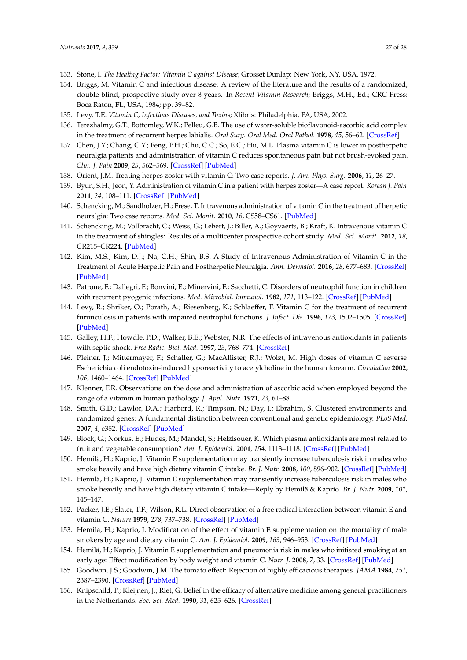- <span id="page-26-0"></span>133. Stone, I. *The Healing Factor: Vitamin C against Disease*; Grosset Dunlap: New York, NY, USA, 1972.
- 134. Briggs, M. Vitamin C and infectious disease: A review of the literature and the results of a randomized, double-blind, prospective study over 8 years. In *Recent Vitamin Research*; Briggs, M.H., Ed.; CRC Press: Boca Raton, FL, USA, 1984; pp. 39–82.
- <span id="page-26-1"></span>135. Levy, T.E. *Vitamin C, Infectious Diseases, and Toxins*; Xlibris: Philadelphia, PA, USA, 2002.
- <span id="page-26-2"></span>136. Terezhalmy, G.T.; Bottomley, W.K.; Pelleu, G.B. The use of water-soluble bioflavonoid-ascorbic acid complex in the treatment of recurrent herpes labialis. *Oral Surg. Oral Med. Oral Pathol.* **1978**, *45*, 56–62. [\[CrossRef\]](http://dx.doi.org/10.1016/0030-4220(78)90223-2)
- <span id="page-26-3"></span>137. Chen, J.Y.; Chang, C.Y.; Feng, P.H.; Chu, C.C.; So, E.C.; Hu, M.L. Plasma vitamin C is lower in postherpetic neuralgia patients and administration of vitamin C reduces spontaneous pain but not brush-evoked pain. *Clin. J. Pain* **2009**, *25*, 562–569. [\[CrossRef\]](http://dx.doi.org/10.1097/AJP.0b013e318193cf32) [\[PubMed\]](http://www.ncbi.nlm.nih.gov/pubmed/19692796)
- <span id="page-26-4"></span>138. Orient, J.M. Treating herpes zoster with vitamin C: Two case reports. *J. Am. Phys. Surg.* **2006**, *11*, 26–27.
- 139. Byun, S.H.; Jeon, Y. Administration of vitamin C in a patient with herpes zoster—A case report. *Korean J. Pain* **2011**, *24*, 108–111. [\[CrossRef\]](http://dx.doi.org/10.3344/kjp.2011.24.2.108) [\[PubMed\]](http://www.ncbi.nlm.nih.gov/pubmed/21716609)
- 140. Schencking, M.; Sandholzer, H.; Frese, T. Intravenous administration of vitamin C in the treatment of herpetic neuralgia: Two case reports. *Med. Sci. Monit.* **2010**, *16*, CS58–CS61. [\[PubMed\]](http://www.ncbi.nlm.nih.gov/pubmed/20424557)
- 141. Schencking, M.; Vollbracht, C.; Weiss, G.; Lebert, J.; Biller, A.; Goyvaerts, B.; Kraft, K. Intravenous vitamin C in the treatment of shingles: Results of a multicenter prospective cohort study. *Med. Sci. Monit.* **2012**, *18*, CR215–CR224. [\[PubMed\]](http://www.ncbi.nlm.nih.gov/pubmed/22460093)
- <span id="page-26-5"></span>142. Kim, M.S.; Kim, D.J.; Na, C.H.; Shin, B.S. A Study of Intravenous Administration of Vitamin C in the Treatment of Acute Herpetic Pain and Postherpetic Neuralgia. *Ann. Dermatol.* **2016**, *28*, 677–683. [\[CrossRef\]](http://dx.doi.org/10.5021/ad.2016.28.6.677) [\[PubMed\]](http://www.ncbi.nlm.nih.gov/pubmed/27904265)
- <span id="page-26-6"></span>143. Patrone, F.; Dallegri, F.; Bonvini, E.; Minervini, F.; Sacchetti, C. Disorders of neutrophil function in children with recurrent pyogenic infections. *Med. Microbiol. Immunol.* **1982**, *171*, 113–122. [\[CrossRef\]](http://dx.doi.org/10.1007/BF02124918) [\[PubMed\]](http://www.ncbi.nlm.nih.gov/pubmed/7144693)
- <span id="page-26-7"></span>144. Levy, R.; Shriker, O.; Porath, A.; Riesenberg, K.; Schlaeffer, F. Vitamin C for the treatment of recurrent furunculosis in patients with impaired neutrophil functions. *J. Infect. Dis.* **1996**, *173*, 1502–1505. [\[CrossRef\]](http://dx.doi.org/10.1093/infdis/173.6.1502) [\[PubMed\]](http://www.ncbi.nlm.nih.gov/pubmed/8648230)
- <span id="page-26-8"></span>145. Galley, H.F.; Howdle, P.D.; Walker, B.E.; Webster, N.R. The effects of intravenous antioxidants in patients with septic shock. *Free Radic. Biol. Med.* **1997**, *23*, 768–774. [\[CrossRef\]](http://dx.doi.org/10.1016/S0891-5849(97)00059-2)
- <span id="page-26-9"></span>146. Pleiner, J.; Mittermayer, F.; Schaller, G.; MacAllister, R.J.; Wolzt, M. High doses of vitamin C reverse Escherichia coli endotoxin-induced hyporeactivity to acetylcholine in the human forearm. *Circulation* **2002**, *106*, 1460–1464. [\[CrossRef\]](http://dx.doi.org/10.1161/01.CIR.0000030184.70207.FF) [\[PubMed\]](http://www.ncbi.nlm.nih.gov/pubmed/12234948)
- <span id="page-26-10"></span>147. Klenner, F.R. Observations on the dose and administration of ascorbic acid when employed beyond the range of a vitamin in human pathology. *J. Appl. Nutr.* **1971**, *23*, 61–88.
- <span id="page-26-11"></span>148. Smith, G.D.; Lawlor, D.A.; Harbord, R.; Timpson, N.; Day, I.; Ebrahim, S. Clustered environments and randomized genes: A fundamental distinction between conventional and genetic epidemiology. *PLoS Med.* **2007**, *4*, e352. [\[CrossRef\]](http://dx.doi.org/10.1371/journal.pmed.0040352) [\[PubMed\]](http://www.ncbi.nlm.nih.gov/pubmed/18076282)
- <span id="page-26-12"></span>149. Block, G.; Norkus, E.; Hudes, M.; Mandel, S.; Helzlsouer, K. Which plasma antioxidants are most related to fruit and vegetable consumption? *Am. J. Epidemiol.* **2001**, *154*, 1113–1118. [\[CrossRef\]](http://dx.doi.org/10.1093/aje/154.12.1113) [\[PubMed\]](http://www.ncbi.nlm.nih.gov/pubmed/11744516)
- <span id="page-26-13"></span>150. Hemilä, H.; Kaprio, J. Vitamin E supplementation may transiently increase tuberculosis risk in males who smoke heavily and have high dietary vitamin C intake. *Br. J. Nutr.* **2008**, *100*, 896–902. [\[CrossRef\]](http://dx.doi.org/10.1017/S0007114508923709) [\[PubMed\]](http://www.ncbi.nlm.nih.gov/pubmed/18279551)
- <span id="page-26-14"></span>151. Hemilä, H.; Kaprio, J. Vitamin E supplementation may transiently increase tuberculosis risk in males who smoke heavily and have high dietary vitamin C intake—Reply by Hemilä & Kaprio. *Br. J. Nutr.* **2009**, *101*, 145–147.
- <span id="page-26-15"></span>152. Packer, J.E.; Slater, T.F.; Wilson, R.L. Direct observation of a free radical interaction between vitamin E and vitamin C. *Nature* **1979**, *278*, 737–738. [\[CrossRef\]](http://dx.doi.org/10.1038/278737a0) [\[PubMed\]](http://www.ncbi.nlm.nih.gov/pubmed/431730)
- <span id="page-26-16"></span>153. Hemilä, H.; Kaprio, J. Modification of the effect of vitamin E supplementation on the mortality of male smokers by age and dietary vitamin C. *Am. J. Epidemiol.* **2009**, *169*, 946–953. [\[CrossRef\]](http://dx.doi.org/10.1093/aje/kwn413) [\[PubMed\]](http://www.ncbi.nlm.nih.gov/pubmed/19218294)
- <span id="page-26-17"></span>154. Hemilä, H.; Kaprio, J. Vitamin E supplementation and pneumonia risk in males who initiated smoking at an early age: Effect modification by body weight and vitamin C. *Nutr. J.* **2008**, *7*, 33. [\[CrossRef\]](http://dx.doi.org/10.1186/1475-2891-7-33) [\[PubMed\]](http://www.ncbi.nlm.nih.gov/pubmed/19019244)
- <span id="page-26-18"></span>155. Goodwin, J.S.; Goodwin, J.M. The tomato effect: Rejection of highly efficacious therapies. *JAMA* **1984**, *251*, 2387–2390. [\[CrossRef\]](http://dx.doi.org/10.1001/jama.1984.03340420053025) [\[PubMed\]](http://www.ncbi.nlm.nih.gov/pubmed/6368890)
- <span id="page-26-19"></span>156. Knipschild, P.; Kleijnen, J.; Riet, G. Belief in the efficacy of alternative medicine among general practitioners in the Netherlands. *Soc. Sci. Med.* **1990**, *31*, 625–626. [\[CrossRef\]](http://dx.doi.org/10.1016/0277-9536(90)90099-E)